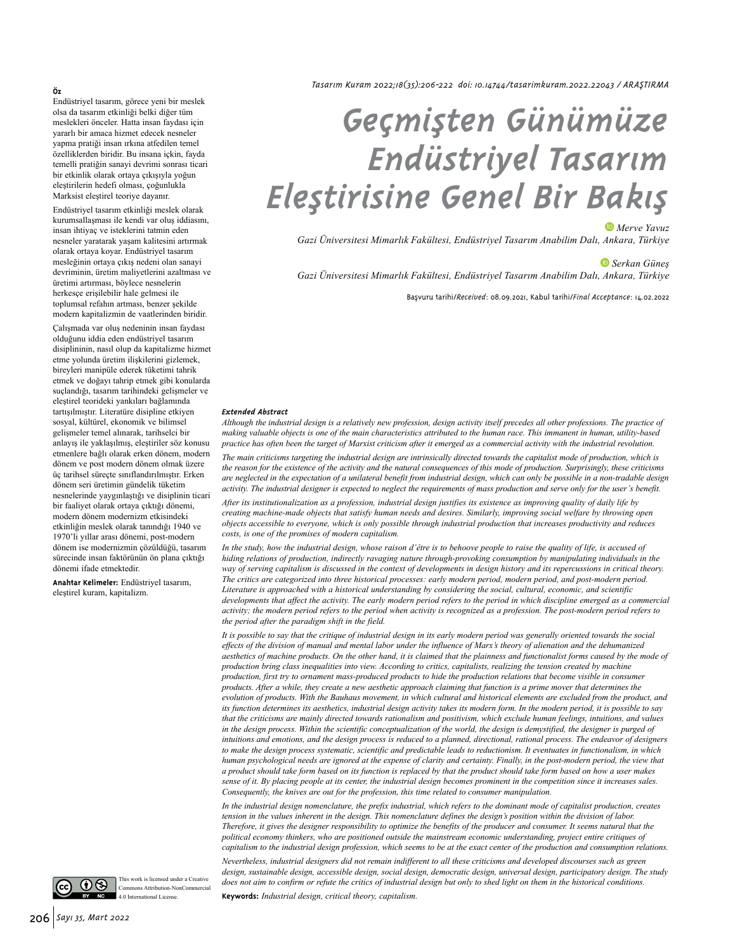#### **Öz**

Endüstriyel tasarım, görece yeni bir meslek olsa da tasarım etkinliği belki diğer tüm meslekleri önceler. Hatta insan faydası için yararlı bir amaca hizmet edecek nesneler yapma pratiği insan ırkına atfedilen temel özelliklerden biridir. Bu insana içkin, fayda temelli pratiğin sanayi devrimi sonrası ticari bir etkinlik olarak ortaya çıkışıyla yoğun eleştirilerin hedefi olması, çoğunlukla Marksist eleştirel teoriye dayanır.

Endüstriyel tasarım etkinliği meslek olarak kurumsallaşması ile kendi var oluş iddiasını, insan ihtiyaç ve isteklerini tatmin eden nesneler yaratarak yaşam kalitesini artırmak olarak ortaya koyar. Endüstriyel tasarım mesleğinin ortaya çıkış nedeni olan sanayi devriminin, üretim maliyetlerini azaltması ve üretimi artırması, böylece nesnelerin herkesçe erişilebilir hale gelmesi ile toplumsal refahın artması, benzer şekilde modern kapitalizmin de vaatlerinden biridir.

Çalışmada var oluş nedeninin insan faydası olduğunu iddia eden endüstriyel tasarım disiplininin, nasıl olup da kapitalizme hizmet etme yolunda üretim ilişkilerini gizlemek, bireyleri manipüle ederek tüketimi tahrik etmek ve doğayı tahrip etmek gibi konularda suçlandığı, tasarım tarihindeki gelişmeler ve eleştirel teorideki yankıları bağlamında tartışılmıştır. Literatüre disipline etkiyen sosyal, kültürel, ekonomik ve bilimsel gelişmeler temel alınarak, tarihselci bir anlayış ile yaklaşılmış, eleştiriler söz konusu etmenlere bağlı olarak erken dönem, modern dönem ve post modern dönem olmak üzere üç tarihsel süreçte sınıflandırılmıştır. Erken dönem seri üretimin gündelik tüketim nesnelerinde yaygınlaştığı ve disiplinin ticari bir faaliyet olarak ortaya çıktığı dönemi, modern dönem modernizm etkisindeki etkinliğin meslek olarak tanındığı 1940 ve 1970'li yıllar arası dönemi, post-modern dönem ise modernizmin çözüldüğü, tasarım sürecinde insan faktörünün ön plana çıktığı dönemi ifade etmektedir.

**Anahtar Kelimeler:** Endüstriyel tasarım, eleştirel kuram, kapitalizm.

*Tasarım Kuram 2022;18(35):206-222 doi: 10.14744/tasarimkuram.2022.22043 / ARAŞTIRMA*

# *Geçmişten Günümüze Endüstriyel Tasarım Eleştirisine Genel Bir Bakış*

#### *Merve Yavuz*

*Gazi Üniversitesi Mimarlık Fakültesi, Endüstriyel Tasarım Anabilim Dalı, Ankara, Türkiye*

*Serkan Güneş*

*Gazi Üniversitesi Mimarlık Fakültesi, Endüstriyel Tasarım Anabilim Dalı, Ankara, Türkiye*

Bavuru tarihi/*Received*: 08.09.2021, Kabul tarihi/*Final Acceptance*: 14.02.2022

#### *Extended Abstract*

*Although the industrial design is a relatively new profession, design activity itself precedes all other professions. The practice of making valuable objects is one of the main characteristics attributed to the human race. This immanent in human, utility-based practice has often been the target of Marxist criticism after it emerged as a commercial activity with the industrial revolution. The main criticisms targeting the industrial design are intrinsically directed towards the capitalist mode of production, which is the reason for the existence of the activity and the natural consequences of this mode of production. Surprisingly, these criticisms are neglected in the expectation of a unilateral benefit from industrial design, which can only be possible in a non-tradable design activity. The industrial designer is expected to neglect the requirements of mass production and serve only for the user's benefit.* 

*After its institutionalization as a profession, industrial design justifies its existence as improving quality of daily life by creating machine-made objects that satisfy human needs and desires. Similarly, improving social welfare by throwing open objects accessible to everyone, which is only possible through industrial production that increases productivity and reduces costs, is one of the promises of modern capitalism.*

*In the study, how the industrial design, whose raison d'être is to behoove people to raise the quality of life, is accused of hiding relations of production, indirectly ravaging nature through-provoking consumption by manipulating individuals in the way of serving capitalism is discussed in the context of developments in design history and its repercussions in critical theory. The critics are categorized into three historical processes: early modern period, modern period, and post-modern period. Literature is approached with a historical understanding by considering the social, cultural, economic, and scientific*  developments that affect the activity. The early modern period refers to the period in which discipline emerged as a commercial *activity; the modern period refers to the period when activity is recognized as a profession. The post-modern period refers to the period after the paradigm shift in the field.* 

*It is possible to say that the critique of industrial design in its early modern period was generally oriented towards the social effects of the division of manual and mental labor under the influence of Marx's theory of alienation and the dehumanized aesthetics of machine products. On the other hand, it is claimed that the plainness and functionalist forms caused by the mode of production bring class inequalities into view. According to critics, capitalists, realizing the tension created by machine production, first try to ornament mass-produced products to hide the production relations that become visible in consumer products. After a while, they create a new aesthetic approach claiming that function is a prime mover that determines the evolution of products. With the Bauhaus movement, in which cultural and historical elements are excluded from the product, and its function determines its aesthetics, industrial design activity takes its modern form. In the modern period, it is possible to say that the criticisms are mainly directed towards rationalism and positivism, which exclude human feelings, intuitions, and values*  in the design process. Within the scientific conceptualization of the world, the design is demystified, the designer is purged of *intuitions and emotions, and the design process is reduced to a planned, directional, rational process. The endeavor of designers to make the design process systematic, scientific and predictable leads to reductionism. It eventuates in functionalism, in which human psychological needs are ignored at the expense of clarity and certainty. Finally, in the post-modern period, the view that a product should take form based on its function is replaced by that the product should take form based on how a user makes sense of it. By placing people at its center, the industrial design becomes prominent in the competition since it increases sales. Consequently, the knives are out for the profession, this time related to consumer manipulation.* 

*In the industrial design nomenclature, the prefix industrial, which refers to the dominant mode of capitalist production, creates tension in the values inherent in the design. This nomenclature defines the design's position within the division of labor. Therefore, it gives the designer responsibility to optimize the benefits of the producer and consumer. It seems natural that the political economy thinkers, who are positioned outside the mainstream economic understanding, project entire critiques of capitalism to the industrial design profession, which seems to be at the exact center of the production and consumption relations.* 

*Nevertheless, industrial designers did not remain indifferent to all these criticisms and developed discourses such as green design, sustainable design, accessible design, social design, democratic design, universal design, participatory design. The study does not aim to confirm or refute the critics of industrial design but only to shed light on them in the historical conditions.* 

**Keywords:** *Industrial design, critical theory, capitalism.*

 $()$ 

This work is licensed under a Creative Commons Attribution-NonComm 4.0 International License.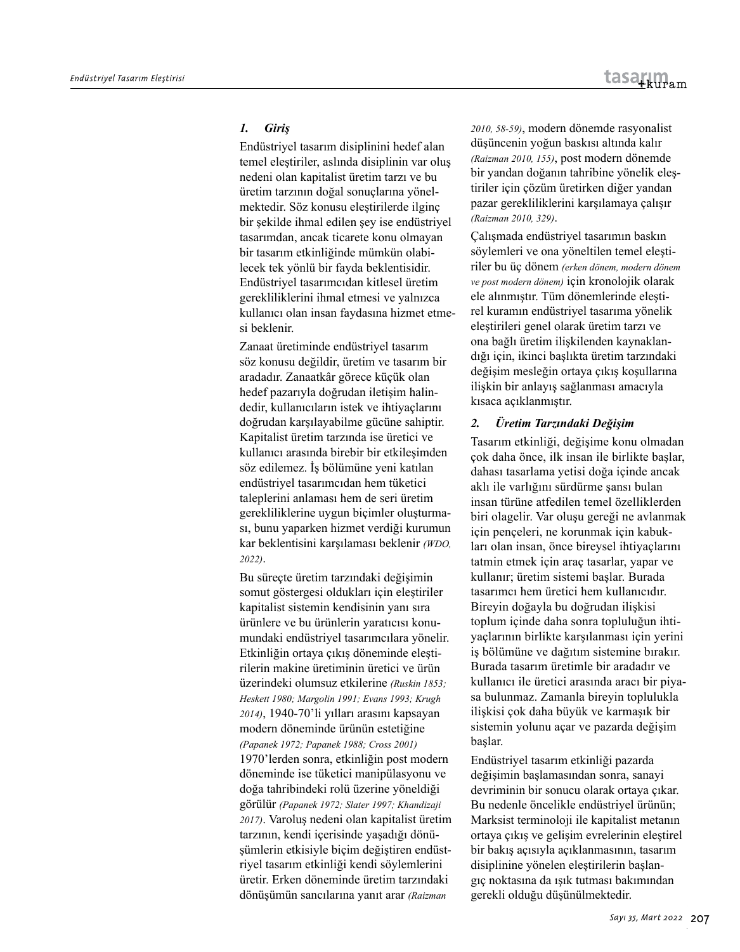### *1. Giriş*

Endüstriyel tasarım disiplinini hedef alan temel eleştiriler, aslında disiplinin var oluş nedeni olan kapitalist üretim tarzı ve bu üretim tarzının doğal sonuçlarına yönelmektedir. Söz konusu eleştirilerde ilginç bir şekilde ihmal edilen şey ise endüstriyel tasarımdan, ancak ticarete konu olmayan bir tasarım etkinliğinde mümkün olabilecek tek yönlü bir fayda beklentisidir. Endüstriyel tasarımcıdan kitlesel üretim gerekliliklerini ihmal etmesi ve yalnızca kullanıcı olan insan faydasına hizmet etmesi beklenir.

Zanaat üretiminde endüstriyel tasarım söz konusu değildir, üretim ve tasarım bir aradadır. Zanaatkâr görece küçük olan hedef pazarıyla doğrudan iletişim halindedir, kullanıcıların istek ve ihtiyaçlarını doğrudan karşılayabilme gücüne sahiptir. Kapitalist üretim tarzında ise üretici ve kullanıcı arasında birebir bir etkileşimden söz edilemez. İş bölümüne yeni katılan endüstriyel tasarımcıdan hem tüketici taleplerini anlaması hem de seri üretim gerekliliklerine uygun biçimler oluşturması, bunu yaparken hizmet verdiği kurumun kar beklentisini karşılaması beklenir *(WDO, 2022)*.

Bu süreçte üretim tarzındaki değişimin somut göstergesi oldukları için eleştiriler kapitalist sistemin kendisinin yanı sıra ürünlere ve bu ürünlerin yaratıcısı konumundaki endüstriyel tasarımcılara yönelir. Etkinliğin ortaya çıkış döneminde eleştirilerin makine üretiminin üretici ve ürün üzerindeki olumsuz etkilerine *(Ruskin 1853; Heskett 1980; Margolin 1991; Evans 1993; Krugh 2014)*, 1940-70'li yılları arasını kapsayan modern döneminde ürünün estetiğine *(Papanek 1972; Papanek 1988; Cross 2001)* 1970'lerden sonra, etkinliğin post modern döneminde ise tüketici manipülasyonu ve doğa tahribindeki rolü üzerine yöneldiği görülür *(Papanek 1972; Slater 1997; Khandizaji 2017)*. Varoluş nedeni olan kapitalist üretim tarzının, kendi içerisinde yaşadığı dönüşümlerin etkisiyle biçim değiştiren endüstriyel tasarım etkinliği kendi söylemlerini üretir. Erken döneminde üretim tarzındaki dönüşümün sancılarına yanıt arar *(Raizman* 

*2010, 58-59)*, modern dönemde rasyonalist düşüncenin yoğun baskısı altında kalır *(Raizman 2010, 155)*, post modern dönemde bir yandan doğanın tahribine yönelik eleştiriler için çözüm üretirken diğer yandan pazar gerekliliklerini karşılamaya çalışır *(Raizman 2010, 329)*.

Çalışmada endüstriyel tasarımın baskın söylemleri ve ona yöneltilen temel eleştiriler bu üç dönem *(erken dönem, modern dönem ve post modern dönem)* için kronolojik olarak ele alınmıştır. Tüm dönemlerinde eleştirel kuramın endüstriyel tasarıma yönelik eleştirileri genel olarak üretim tarzı ve ona bağlı üretim ilişkilenden kaynaklandığı için, ikinci başlıkta üretim tarzındaki değişim mesleğin ortaya çıkış koşullarına ilişkin bir anlayış sağlanması amacıyla kısaca açıklanmıştır.

#### *2. Üretim Tarzındaki Değişim*

Tasarım etkinliği, değişime konu olmadan çok daha önce, ilk insan ile birlikte başlar, dahası tasarlama yetisi doğa içinde ancak aklı ile varlığını sürdürme şansı bulan insan türüne atfedilen temel özelliklerden biri olagelir. Var oluşu gereği ne avlanmak için pençeleri, ne korunmak için kabukları olan insan, önce bireysel ihtiyaçlarını tatmin etmek için araç tasarlar, yapar ve kullanır; üretim sistemi başlar. Burada tasarımcı hem üretici hem kullanıcıdır. Bireyin doğayla bu doğrudan ilişkisi toplum içinde daha sonra topluluğun ihtiyaçlarının birlikte karşılanması için yerini iş bölümüne ve dağıtım sistemine bırakır. Burada tasarım üretimle bir aradadır ve kullanıcı ile üretici arasında aracı bir piyasa bulunmaz. Zamanla bireyin toplulukla ilişkisi çok daha büyük ve karmaşık bir sistemin yolunu açar ve pazarda değişim başlar.

Endüstriyel tasarım etkinliği pazarda değişimin başlamasından sonra, sanayi devriminin bir sonucu olarak ortaya çıkar. Bu nedenle öncelikle endüstriyel ürünün; Marksist terminoloji ile kapitalist metanın ortaya çıkış ve gelişim evrelerinin eleştirel bir bakış açısıyla açıklanmasının, tasarım disiplinine yönelen eleştirilerin başlangıç noktasına da ışık tutması bakımından gerekli olduğu düşünülmektedir.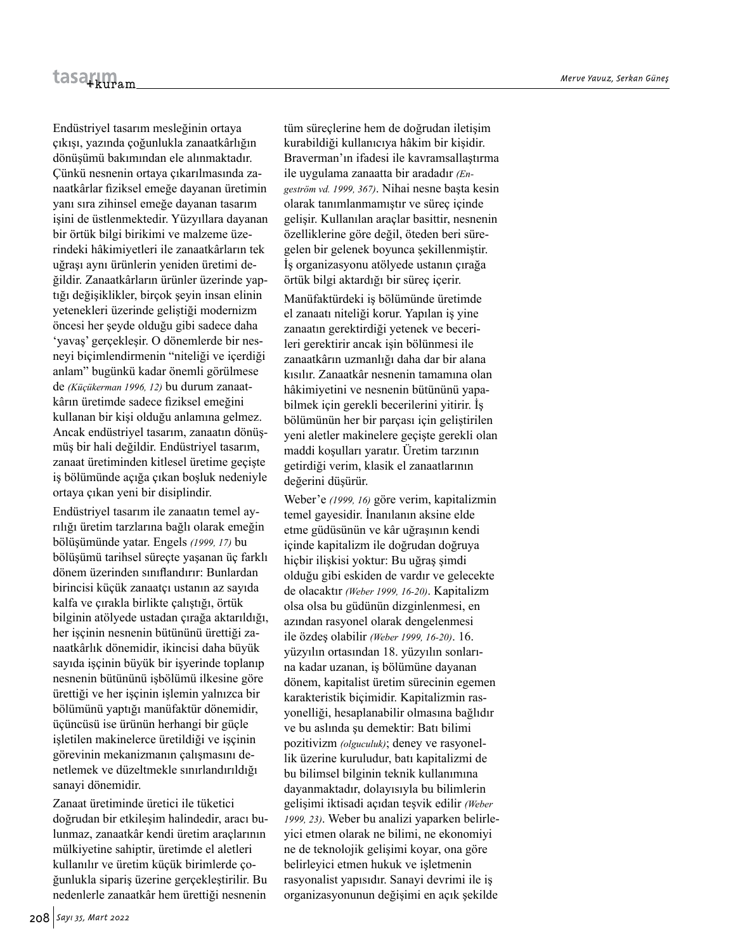Endüstriyel tasarım mesleğinin ortaya çıkışı, yazında çoğunlukla zanaatkârlığın dönüşümü bakımından ele alınmaktadır. Çünkü nesnenin ortaya çıkarılmasında zanaatkârlar fiziksel emeğe dayanan üretimin yanı sıra zihinsel emeğe dayanan tasarım işini de üstlenmektedir. Yüzyıllara dayanan bir örtük bilgi birikimi ve malzeme üzerindeki hâkimiyetleri ile zanaatkârların tek uğraşı aynı ürünlerin yeniden üretimi değildir. Zanaatkârların ürünler üzerinde yaptığı değişiklikler, birçok şeyin insan elinin yetenekleri üzerinde geliştiği modernizm öncesi her şeyde olduğu gibi sadece daha 'yavaş' gerçekleşir. O dönemlerde bir nesneyi biçimlendirmenin "niteliği ve içerdiği anlam" bugünkü kadar önemli görülmese de *(Küçükerman 1996, 12)* bu durum zanaatkârın üretimde sadece fiziksel emeğini kullanan bir kişi olduğu anlamına gelmez. Ancak endüstriyel tasarım, zanaatın dönüşmüş bir hali değildir. Endüstriyel tasarım, zanaat üretiminden kitlesel üretime geçişte iş bölümünde açığa çıkan boşluk nedeniyle ortaya çıkan yeni bir disiplindir.

Endüstriyel tasarım ile zanaatın temel ayrılığı üretim tarzlarına bağlı olarak emeğin bölüşümünde yatar. Engels *(1999, 17)* bu bölüşümü tarihsel süreçte yaşanan üç farklı dönem üzerinden sınıflandırır: Bunlardan birincisi küçük zanaatçı ustanın az sayıda kalfa ve çırakla birlikte çalıştığı, örtük bilginin atölyede ustadan çırağa aktarıldığı, her işçinin nesnenin bütününü ürettiği zanaatkârlık dönemidir, ikincisi daha büyük sayıda işçinin büyük bir işyerinde toplanıp nesnenin bütününü işbölümü ilkesine göre ürettiği ve her işçinin işlemin yalnızca bir bölümünü yaptığı manüfaktür dönemidir, üçüncüsü ise ürünün herhangi bir güçle işletilen makinelerce üretildiği ve işçinin görevinin mekanizmanın çalışmasını denetlemek ve düzeltmekle sınırlandırıldığı sanayi dönemidir.

Zanaat üretiminde üretici ile tüketici doğrudan bir etkileşim halindedir, aracı bulunmaz, zanaatkâr kendi üretim araçlarının mülkiyetine sahiptir, üretimde el aletleri kullanılır ve üretim küçük birimlerde çoğunlukla sipariş üzerine gerçekleştirilir. Bu nedenlerle zanaatkâr hem ürettiği nesnenin

tüm süreçlerine hem de doğrudan iletişim kurabildiği kullanıcıya hâkim bir kişidir. Braverman'ın ifadesi ile kavramsallaştırma ile uygulama zanaatta bir aradadır *(Engeström vd. 1999, 367)*. Nihai nesne başta kesin olarak tanımlanmamıştır ve süreç içinde gelişir. Kullanılan araçlar basittir, nesnenin özelliklerine göre değil, öteden beri süregelen bir gelenek boyunca şekillenmiştir. İş organizasyonu atölyede ustanın çırağa örtük bilgi aktardığı bir süreç içerir. Manüfaktürdeki iş bölümünde üretimde el zanaatı niteliği korur. Yapılan iş yine zanaatın gerektirdiği yetenek ve becerileri gerektirir ancak işin bölünmesi ile zanaatkârın uzmanlığı daha dar bir alana kısılır. Zanaatkâr nesnenin tamamına olan hâkimiyetini ve nesnenin bütününü yapabilmek için gerekli becerilerini yitirir. İş bölümünün her bir parçası için geliştirilen yeni aletler makinelere geçişte gerekli olan maddi koşulları yaratır. Üretim tarzının getirdiği verim, klasik el zanaatlarının değerini düşürür.

Weber'e *(1999, 16)* göre verim, kapitalizmin temel gayesidir. İnanılanın aksine elde etme güdüsünün ve kâr uğraşının kendi içinde kapitalizm ile doğrudan doğruya hiçbir ilişkisi yoktur: Bu uğraş şimdi olduğu gibi eskiden de vardır ve gelecekte de olacaktır *(Weber 1999, 16-20)*. Kapitalizm olsa olsa bu güdünün dizginlenmesi, en azından rasyonel olarak dengelenmesi ile özdeş olabilir *(Weber 1999, 16-20)*. 16. yüzyılın ortasından 18. yüzyılın sonlarına kadar uzanan, iş bölümüne dayanan dönem, kapitalist üretim sürecinin egemen karakteristik biçimidir. Kapitalizmin rasyonelliği, hesaplanabilir olmasına bağlıdır ve bu aslında şu demektir: Batı bilimi pozitivizm *(olguculuk)*; deney ve rasyonellik üzerine kuruludur, batı kapitalizmi de bu bilimsel bilginin teknik kullanımına dayanmaktadır, dolayısıyla bu bilimlerin gelişimi iktisadi açıdan teşvik edilir *(Weber 1999, 23)*. Weber bu analizi yaparken belirleyici etmen olarak ne bilimi, ne ekonomiyi ne de teknolojik gelişimi koyar, ona göre belirleyici etmen hukuk ve işletmenin rasyonalist yapısıdır. Sanayi devrimi ile iş organizasyonunun değişimi en açık şekilde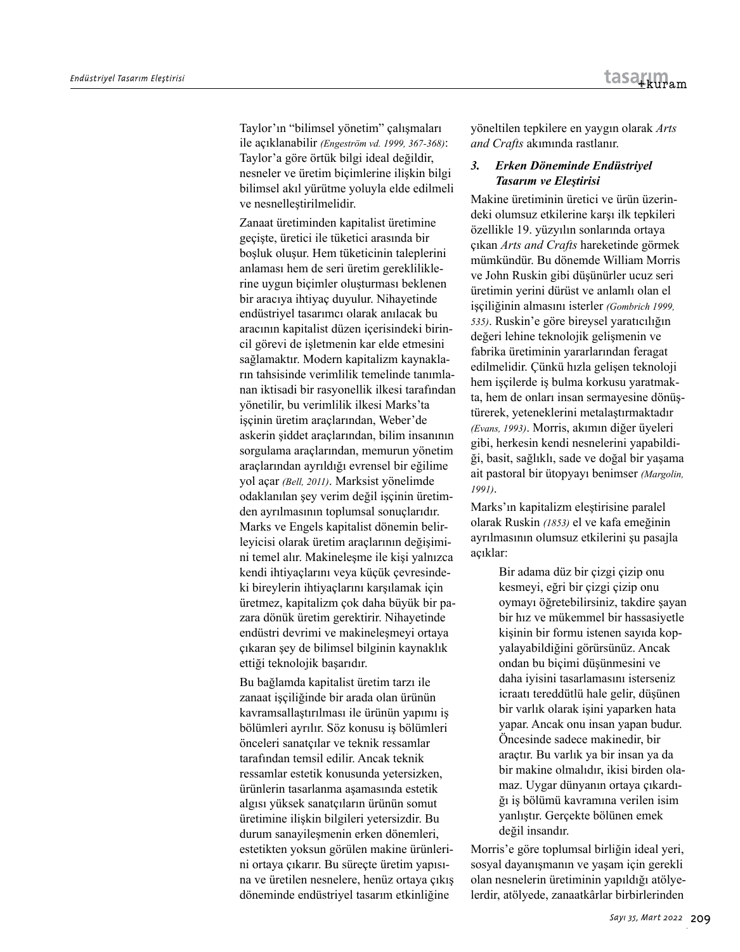Taylor'ın "bilimsel yönetim" çalışmaları ile açıklanabilir *(Engeström vd. 1999, 367-368)*: Taylor'a göre örtük bilgi ideal değildir, nesneler ve üretim biçimlerine ilişkin bilgi bilimsel akıl yürütme yoluyla elde edilmeli ve nesnelleştirilmelidir.

Zanaat üretiminden kapitalist üretimine geçişte, üretici ile tüketici arasında bir boşluk oluşur. Hem tüketicinin taleplerini anlaması hem de seri üretim gerekliliklerine uygun biçimler oluşturması beklenen bir aracıya ihtiyaç duyulur. Nihayetinde endüstriyel tasarımcı olarak anılacak bu aracının kapitalist düzen içerisindeki birincil görevi de işletmenin kar elde etmesini sağlamaktır. Modern kapitalizm kaynakların tahsisinde verimlilik temelinde tanımlanan iktisadi bir rasyonellik ilkesi tarafından yönetilir, bu verimlilik ilkesi Marks'ta isçinin üretim araçlarından, Weber'de askerin şiddet araçlarından, bilim insanının sorgulama araçlarından, memurun yönetim araçlarından ayrıldığı evrensel bir eğilime yol açar *(Bell, 2011)*. Marksist yönelimde odaklanılan şey verim değil işçinin üretimden ayrılmasının toplumsal sonuçlarıdır. Marks ve Engels kapitalist dönemin belirleyicisi olarak üretim araçlarının değişimini temel alır. Makineleşme ile kişi yalnızca kendi ihtiyaçlarını veya küçük çevresindeki bireylerin ihtiyaçlarını karşılamak için üretmez, kapitalizm çok daha büyük bir pazara dönük üretim gerektirir. Nihayetinde endüstri devrimi ve makineleşmeyi ortaya çıkaran şey de bilimsel bilginin kaynaklık ettiği teknolojik başarıdır.

Bu bağlamda kapitalist üretim tarzı ile zanaat işçiliğinde bir arada olan ürünün kavramsallaştırılması ile ürünün yapımı iş bölümleri ayrılır. Söz konusu iş bölümleri önceleri sanatçılar ve teknik ressamlar tarafından temsil edilir. Ancak teknik ressamlar estetik konusunda yetersizken, ürünlerin tasarlanma aşamasında estetik algısı yüksek sanatçıların ürünün somut üretimine ilişkin bilgileri yetersizdir. Bu durum sanayileşmenin erken dönemleri, estetikten yoksun görülen makine ürünlerini ortaya çıkarır. Bu süreçte üretim yapısına ve üretilen nesnelere, henüz ortaya çıkış döneminde endüstriyel tasarım etkinliğine

yöneltilen tepkilere en yaygın olarak *Arts and Crafts* akımında rastlanır.

# *3. Erken Döneminde Endüstriyel Tasarım ve Eleştirisi*

Makine üretiminin üretici ve ürün üzerindeki olumsuz etkilerine karşı ilk tepkileri özellikle 19. yüzyılın sonlarında ortaya çıkan *Arts and Crafts* hareketinde görmek mümkündür. Bu dönemde William Morris ve John Ruskin gibi düşünürler ucuz seri üretimin yerini dürüst ve anlamlı olan el işçiliğinin almasını isterler *(Gombrich 1999, 535)*. Ruskin'e göre bireysel yaratıcılığın değeri lehine teknolojik gelişmenin ve fabrika üretiminin yararlarından feragat edilmelidir. Çünkü hızla gelişen teknoloji hem işçilerde iş bulma korkusu yaratmakta, hem de onları insan sermayesine dönüştürerek, yeteneklerini metalaştırmaktadır *(Evans, 1993)*. Morris, akımın diğer üyeleri gibi, herkesin kendi nesnelerini yapabildiği, basit, sağlıklı, sade ve doğal bir yaşama ait pastoral bir ütopyayı benimser *(Margolin, 1991)*.

Marks'ın kapitalizm eleştirisine paralel olarak Ruskin *(1853)* el ve kafa emeğinin ayrılmasının olumsuz etkilerini şu pasajla açıklar:

> Bir adama düz bir çizgi çizip onu kesmeyi, eğri bir çizgi çizip onu oymayı öğretebilirsiniz, takdire şayan bir hız ve mükemmel bir hassasiyetle kişinin bir formu istenen sayıda kopyalayabildiğini görürsünüz. Ancak ondan bu biçimi düşünmesini ve daha iyisini tasarlamasını isterseniz icraatı tereddütlü hale gelir, düşünen bir varlık olarak işini yaparken hata yapar. Ancak onu insan yapan budur. Öncesinde sadece makinedir, bir araçtır. Bu varlık ya bir insan ya da bir makine olmalıdır, ikisi birden olamaz. Uygar dünyanın ortaya çıkardığı iş bölümü kavramına verilen isim yanlıştır. Gerçekte bölünen emek değil insandır.

Morris'e göre toplumsal birliğin ideal yeri, sosyal dayanışmanın ve yaşam için gerekli olan nesnelerin üretiminin yapıldığı atölyelerdir, atölyede, zanaatkârlar birbirlerinden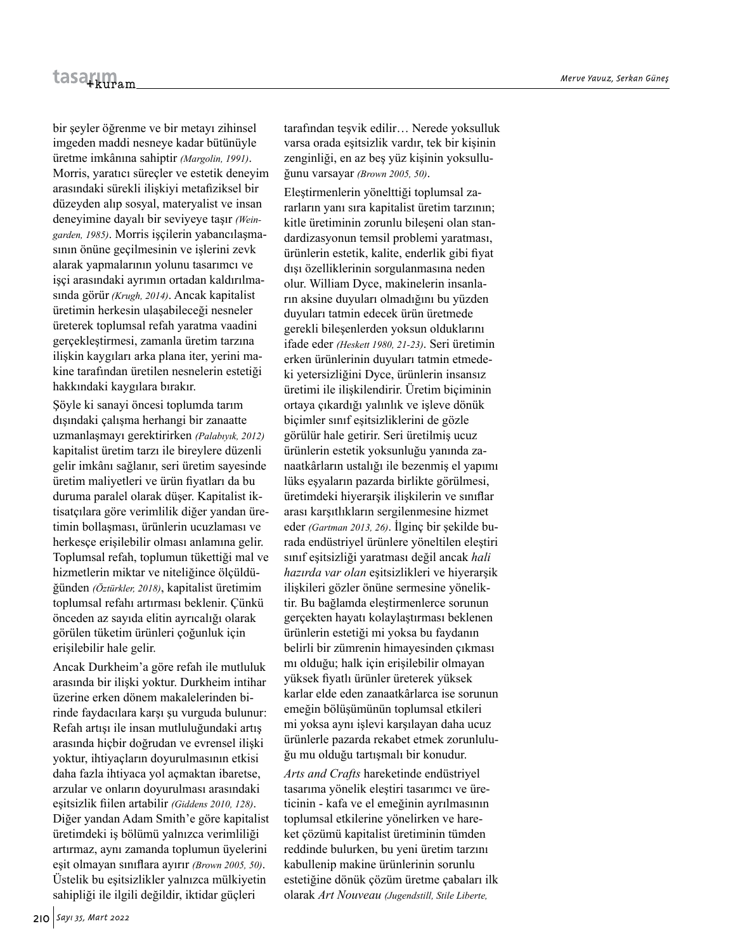bir şeyler öğrenme ve bir metayı zihinsel imgeden maddi nesneye kadar bütünüyle üretme imkânına sahiptir *(Margolin, 1991)*. Morris, yaratıcı süreçler ve estetik deneyim arasındaki sürekli ilişkiyi metafiziksel bir düzeyden alıp sosyal, materyalist ve insan deneyimine dayalı bir seviyeye taşır *(Weingarden, 1985)*. Morris işçilerin yabancılaşmasının önüne geçilmesinin ve işlerini zevk alarak yapmalarının yolunu tasarımcı ve işçi arasındaki ayrımın ortadan kaldırılmasında görür *(Krugh, 2014)*. Ancak kapitalist üretimin herkesin ulaşabileceği nesneler üreterek toplumsal refah yaratma vaadini gerçekleştirmesi, zamanla üretim tarzına ilişkin kaygıları arka plana iter, yerini makine tarafından üretilen nesnelerin estetiği hakkındaki kaygılara bırakır.

Şöyle ki sanayi öncesi toplumda tarım dışındaki çalışma herhangi bir zanaatte uzmanlaşmayı gerektirirken *(Palabıyık, 2012)* kapitalist üretim tarzı ile bireylere düzenli gelir imkânı sağlanır, seri üretim sayesinde üretim maliyetleri ve ürün fiyatları da bu duruma paralel olarak düşer. Kapitalist iktisatçılara göre verimlilik diğer yandan üretimin bollaşması, ürünlerin ucuzlaması ve herkesçe erişilebilir olması anlamına gelir. Toplumsal refah, toplumun tükettiği mal ve hizmetlerin miktar ve niteliğince ölçüldüğünden *(Öztürkler, 2018)*, kapitalist üretimim toplumsal refahı artırması beklenir. Çünkü önceden az sayıda elitin ayrıcalığı olarak görülen tüketim ürünleri çoğunluk için erişilebilir hale gelir.

Ancak Durkheim'a göre refah ile mutluluk arasında bir ilişki yoktur. Durkheim intihar üzerine erken dönem makalelerinden birinde faydacılara karşı şu vurguda bulunur: Refah artışı ile insan mutluluğundaki artış arasında hiçbir doğrudan ve evrensel ilişki yoktur, ihtiyaçların doyurulmasının etkisi daha fazla ihtiyaca yol açmaktan ibaretse, arzular ve onların doyurulması arasındaki eşitsizlik fiilen artabilir *(Giddens 2010, 128)*. Diğer yandan Adam Smith'e göre kapitalist üretimdeki iş bölümü yalnızca verimliliği artırmaz, aynı zamanda toplumun üyelerini eşit olmayan sınıflara ayırır *(Brown 2005, 50)*. Üstelik bu eşitsizlikler yalnızca mülkiyetin sahipliği ile ilgili değildir, iktidar güçleri

tarafından teşvik edilir… Nerede yoksulluk varsa orada eşitsizlik vardır, tek bir kişinin zenginliği, en az beş yüz kişinin yoksulluğunu varsayar *(Brown 2005, 50)*.

Eleştirmenlerin yönelttiği toplumsal zararların yanı sıra kapitalist üretim tarzının; kitle üretiminin zorunlu bileşeni olan standardizasyonun temsil problemi yaratması, ürünlerin estetik, kalite, enderlik gibi fiyat dışı özelliklerinin sorgulanmasına neden olur. William Dyce, makinelerin insanların aksine duyuları olmadığını bu yüzden duyuları tatmin edecek ürün üretmede gerekli bileşenlerden yoksun olduklarını ifade eder *(Heskett 1980, 21-23)*. Seri üretimin erken ürünlerinin duyuları tatmin etmedeki yetersizliğini Dyce, ürünlerin insansız üretimi ile ilişkilendirir. Üretim biçiminin ortaya çıkardığı yalınlık ve işleve dönük biçimler sınıf eşitsizliklerini de gözle görülür hale getirir. Seri üretilmiş ucuz ürünlerin estetik yoksunluğu yanında zanaatkârların ustalığı ile bezenmiş el yapımı lüks eşyaların pazarda birlikte görülmesi, üretimdeki hiyerarşik ilişkilerin ve sınıflar arası karşıtlıkların sergilenmesine hizmet eder *(Gartman 2013, 26)*. İlginç bir şekilde burada endüstriyel ürünlere yöneltilen eleştiri sınıf eşitsizliği yaratması değil ancak *hali hazırda var olan* eşitsizlikleri ve hiyerarşik ilişkileri gözler önüne sermesine yöneliktir. Bu bağlamda eleştirmenlerce sorunun gerçekten hayatı kolaylaştırması beklenen ürünlerin estetiği mi yoksa bu faydanın belirli bir zümrenin himayesinden çıkması mı olduğu; halk için erişilebilir olmayan yüksek fiyatlı ürünler üreterek yüksek karlar elde eden zanaatkârlarca ise sorunun emeğin bölüşümünün toplumsal etkileri mi yoksa aynı işlevi karşılayan daha ucuz ürünlerle pazarda rekabet etmek zorunluluğu mu olduğu tartışmalı bir konudur.

*Arts and Crafts* hareketinde endüstriyel tasarıma yönelik eleştiri tasarımcı ve üreticinin - kafa ve el emeğinin ayrılmasının toplumsal etkilerine yönelirken ve hareket çözümü kapitalist üretiminin tümden reddinde bulurken, bu yeni üretim tarzını kabullenip makine ürünlerinin sorunlu estetiğine dönük çözüm üretme çabaları ilk olarak *Art Nouveau (Jugendstill, Stile Liberte,*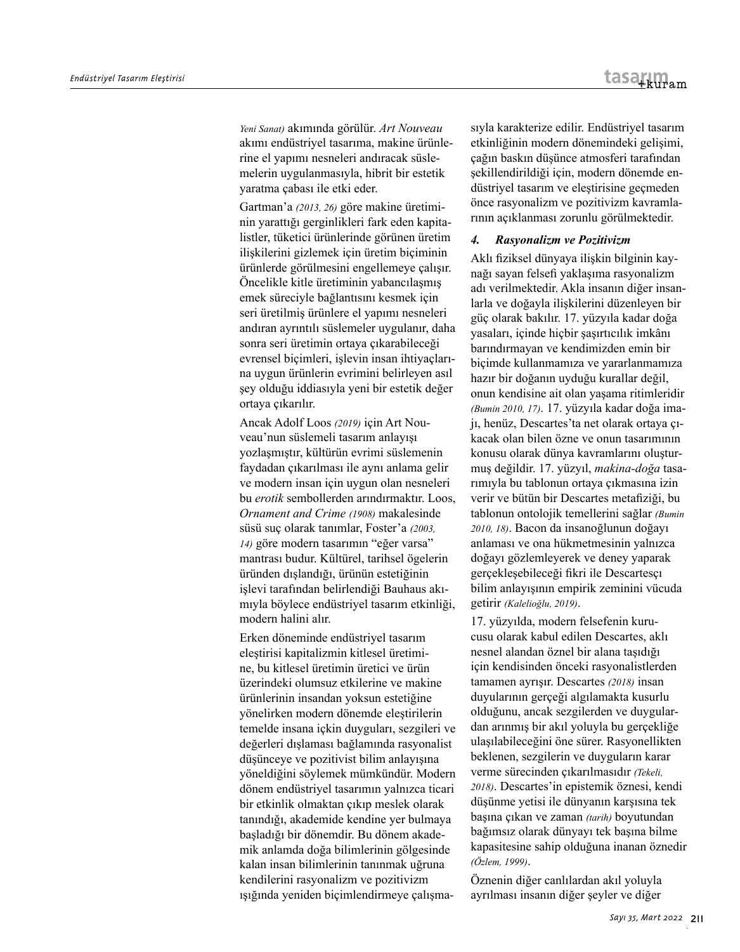*Yeni Sanat)* akımında görülür. *Art Nouveau* akımı endüstriyel tasarıma, makine ürünlerine el yapımı nesneleri andıracak süslemelerin uygulanmasıyla, hibrit bir estetik yaratma çabası ile etki eder.

Gartman'a *(2013, 26)* göre makine üretiminin yarattığı gerginlikleri fark eden kapitalistler, tüketici ürünlerinde görünen üretim ilişkilerini gizlemek için üretim biçiminin ürünlerde görülmesini engellemeye çalışır. Öncelikle kitle üretiminin yabancılaşmış emek süreciyle bağlantısını kesmek için seri üretilmiş ürünlere el yapımı nesneleri andıran ayrıntılı süslemeler uygulanır, daha sonra seri üretimin ortaya çıkarabileceği evrensel biçimleri, işlevin insan ihtiyaçlarına uygun ürünlerin evrimini belirleyen asıl şey olduğu iddiasıyla yeni bir estetik değer ortaya çıkarılır.

Ancak Adolf Loos *(2019)* için Art Nouveau'nun süslemeli tasarım anlayışı yozlaşmıştır, kültürün evrimi süslemenin faydadan çıkarılması ile aynı anlama gelir ve modern insan için uygun olan nesneleri bu *erotik* sembollerden arındırmaktır. Loos, *Ornament and Crime (1908)* makalesinde süsü suç olarak tanımlar, Foster'a *(2003, 14)* göre modern tasarımın "eğer varsa" mantrası budur. Kültürel, tarihsel ögelerin üründen dışlandığı, ürünün estetiğinin işlevi tarafından belirlendiği Bauhaus akımıyla böylece endüstriyel tasarım etkinliği, modern halini alır.

Erken döneminde endüstriyel tasarım eleştirisi kapitalizmin kitlesel üretimine, bu kitlesel üretimin üretici ve ürün üzerindeki olumsuz etkilerine ve makine ürünlerinin insandan yoksun estetiğine yönelirken modern dönemde eleştirilerin temelde insana içkin duyguları, sezgileri ve değerleri dışlaması bağlamında rasyonalist düşünceye ve pozitivist bilim anlayışına yöneldiğini söylemek mümkündür. Modern dönem endüstriyel tasarımın yalnızca ticari bir etkinlik olmaktan çıkıp meslek olarak tanındığı, akademide kendine yer bulmaya başladığı bir dönemdir. Bu dönem akademik anlamda doğa bilimlerinin gölgesinde kalan insan bilimlerinin tanınmak uğruna kendilerini rasyonalizm ve pozitivizm ışığında yeniden biçimlendirmeye çalışmasıyla karakterize edilir. Endüstriyel tasarım etkinliğinin modern dönemindeki gelişimi, çağın baskın düşünce atmosferi tarafından şekillendirildiği için, modern dönemde endüstriyel tasarım ve eleştirisine geçmeden önce rasyonalizm ve pozitivizm kavramlarının açıklanması zorunlu görülmektedir.

#### *4. Rasyonalizm ve Pozitivizm*

Aklı fiziksel dünyaya ilişkin bilginin kaynağı sayan felsefi yaklaşıma rasyonalizm adı verilmektedir. Akla insanın diğer insanlarla ve doğayla ilişkilerini düzenleyen bir güç olarak bakılır. 17. yüzyıla kadar doğa yasaları, içinde hiçbir şaşırtıcılık imkânı barındırmayan ve kendimizden emin bir biçimde kullanmamıza ve yararlanmamıza hazır bir doğanın uyduğu kurallar değil, onun kendisine ait olan yaşama ritimleridir *(Bumin 2010, 17)*. 17. yüzyıla kadar doğa imajı, henüz, Descartes'ta net olarak ortaya çıkacak olan bilen özne ve onun tasarımının konusu olarak dünya kavramlarını oluşturmuş değildir. 17. yüzyıl, *makina-doğa* tasarımıyla bu tablonun ortaya çıkmasına izin verir ve bütün bir Descartes metafiziği, bu tablonun ontolojik temellerini sağlar *(Bumin 2010, 18)*. Bacon da insanoğlunun doğayı anlaması ve ona hükmetmesinin yalnızca doğayı gözlemleyerek ve deney yaparak gerçekleşebileceği fikri ile Descartesçı bilim anlayışının empirik zeminini vücuda getirir *(Kalelioğlu, 2019)*.

17. yüzyılda, modern felsefenin kurucusu olarak kabul edilen Descartes, aklı nesnel alandan öznel bir alana taşıdığı için kendisinden önceki rasyonalistlerden tamamen ayrışır. Descartes *(2018)* insan duyularının gerçeği algılamakta kusurlu olduğunu, ancak sezgilerden ve duygulardan arınmış bir akıl yoluyla bu gerçekliğe ulaşılabileceğini öne sürer. Rasyonellikten beklenen, sezgilerin ve duyguların karar verme sürecinden çıkarılmasıdır *(Tekeli, 2018)*. Descartes'in epistemik öznesi, kendi düşünme yetisi ile dünyanın karşısına tek başına çıkan ve zaman *(tarih)* boyutundan bağımsız olarak dünyayı tek başına bilme kapasitesine sahip olduğuna inanan öznedir *(Özlem, 1999)*.

Öznenin diğer canlılardan akıl yoluyla ayrılması insanın diğer şeyler ve diğer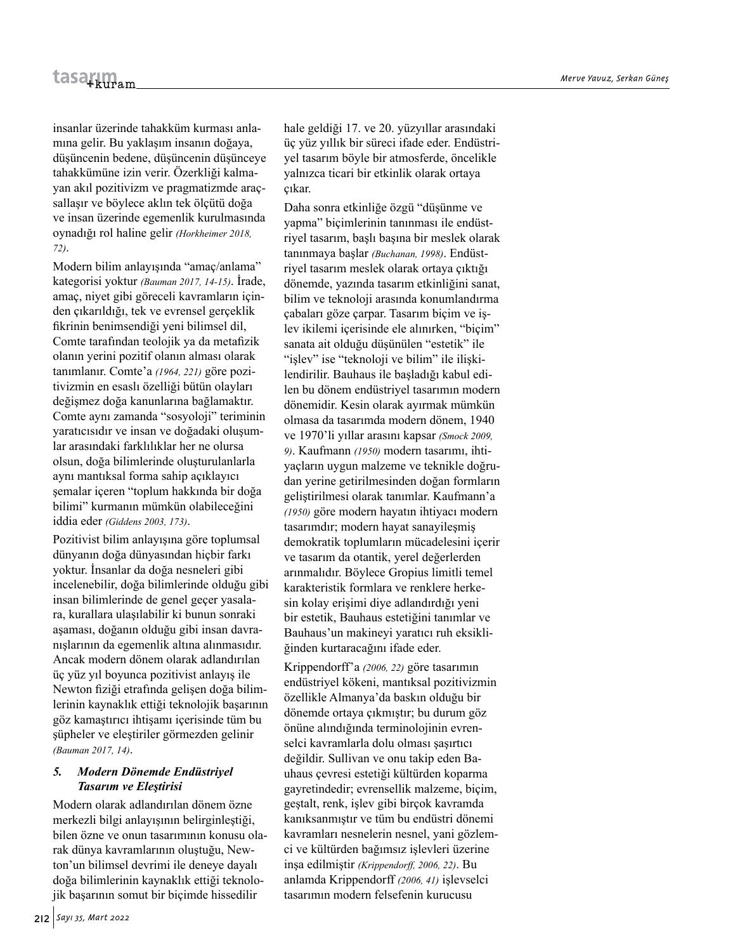insanlar üzerinde tahakküm kurması anlamına gelir. Bu yaklaşım insanın doğaya, düşüncenin bedene, düşüncenin düşünceye tahakkümüne izin verir. Özerkliği kalmayan akıl pozitivizm ve pragmatizmde araçsallaşır ve böylece aklın tek ölçütü doğa ve insan üzerinde egemenlik kurulmasında oynadığı rol haline gelir *(Horkheimer 2018, 72)*.

Modern bilim anlayışında "amaç/anlama" kategorisi yoktur *(Bauman 2017, 14-15)*. İrade, amaç, niyet gibi göreceli kavramların içinden çıkarıldığı, tek ve evrensel gerçeklik fikrinin benimsendiği yeni bilimsel dil, Comte tarafından teolojik ya da metafizik olanın yerini pozitif olanın alması olarak tanımlanır. Comte'a *(1964, 221)* göre pozitivizmin en esaslı özelliği bütün olayları değişmez doğa kanunlarına bağlamaktır. Comte aynı zamanda "sosyoloji" teriminin yaratıcısıdır ve insan ve doğadaki oluşumlar arasındaki farklılıklar her ne olursa olsun, doğa bilimlerinde oluşturulanlarla aynı mantıksal forma sahip açıklayıcı şemalar içeren "toplum hakkında bir doğa bilimi" kurmanın mümkün olabileceğini iddia eder *(Giddens 2003, 173)*.

Pozitivist bilim anlayışına göre toplumsal dünyanın doğa dünyasından hiçbir farkı yoktur. İnsanlar da doğa nesneleri gibi incelenebilir, doğa bilimlerinde olduğu gibi insan bilimlerinde de genel geçer yasalara, kurallara ulaşılabilir ki bunun sonraki aşaması, doğanın olduğu gibi insan davranışlarının da egemenlik altına alınmasıdır. Ancak modern dönem olarak adlandırılan üç yüz yıl boyunca pozitivist anlayış ile Newton fiziği etrafında gelişen doğa bilimlerinin kaynaklık ettiği teknolojik başarının göz kamaştırıcı ihtişamı içerisinde tüm bu şüpheler ve eleştiriler görmezden gelinir *(Bauman 2017, 14)*.

# *5. Modern Dönemde Endüstriyel Tasarım ve Eleştirisi*

Modern olarak adlandırılan dönem özne merkezli bilgi anlayışının belirginleştiği, bilen özne ve onun tasarımının konusu olarak dünya kavramlarının oluştuğu, Newton'un bilimsel devrimi ile deneye dayalı doğa bilimlerinin kaynaklık ettiği teknolojik başarının somut bir biçimde hissedilir

hale geldiği 17. ve 20. yüzyıllar arasındaki üç yüz yıllık bir süreci ifade eder. Endüstriyel tasarım böyle bir atmosferde, öncelikle yalnızca ticari bir etkinlik olarak ortaya çıkar.

Daha sonra etkinliğe özgü "düşünme ve yapma" biçimlerinin tanınması ile endüstriyel tasarım, başlı başına bir meslek olarak tanınmaya başlar *(Buchanan, 1998)*. Endüstriyel tasarım meslek olarak ortaya çıktığı dönemde, yazında tasarım etkinliğini sanat, bilim ve teknoloji arasında konumlandırma çabaları göze çarpar. Tasarım biçim ve işlev ikilemi içerisinde ele alınırken, "biçim" sanata ait olduğu düşünülen "estetik" ile "işlev" ise "teknoloji ve bilim" ile ilişkilendirilir. Bauhaus ile başladığı kabul edilen bu dönem endüstriyel tasarımın modern dönemidir. Kesin olarak ayırmak mümkün olmasa da tasarımda modern dönem, 1940 ve 1970'li yıllar arasını kapsar *(Smock 2009, 9)*. Kaufmann *(1950)* modern tasarımı, ihtiyaçların uygun malzeme ve teknikle doğrudan yerine getirilmesinden doğan formların geliştirilmesi olarak tanımlar. Kaufmann'a *(1950)* göre modern hayatın ihtiyacı modern tasarımdır; modern hayat sanayileşmiş demokratik toplumların mücadelesini içerir ve tasarım da otantik, yerel değerlerden arınmalıdır. Böylece Gropius limitli temel karakteristik formlara ve renklere herkesin kolay erişimi diye adlandırdığı yeni bir estetik, Bauhaus estetiğini tanımlar ve Bauhaus'un makineyi yaratıcı ruh eksikliğinden kurtaracağını ifade eder.

Krippendorff'a *(2006, 22)* göre tasarımın endüstriyel kökeni, mantıksal pozitivizmin özellikle Almanya'da baskın olduğu bir dönemde ortaya çıkmıştır; bu durum göz önüne alındığında terminolojinin evrenselci kavramlarla dolu olması şaşırtıcı değildir. Sullivan ve onu takip eden Bauhaus çevresi estetiği kültürden koparma gayretindedir; evrensellik malzeme, biçim, geştalt, renk, işlev gibi birçok kavramda kanıksanmıştır ve tüm bu endüstri dönemi kavramları nesnelerin nesnel, yani gözlemci ve kültürden bağımsız işlevleri üzerine inşa edilmiştir *(Krippendorff, 2006, 22)*. Bu anlamda Krippendorff *(2006, 41)* işlevselci tasarımın modern felsefenin kurucusu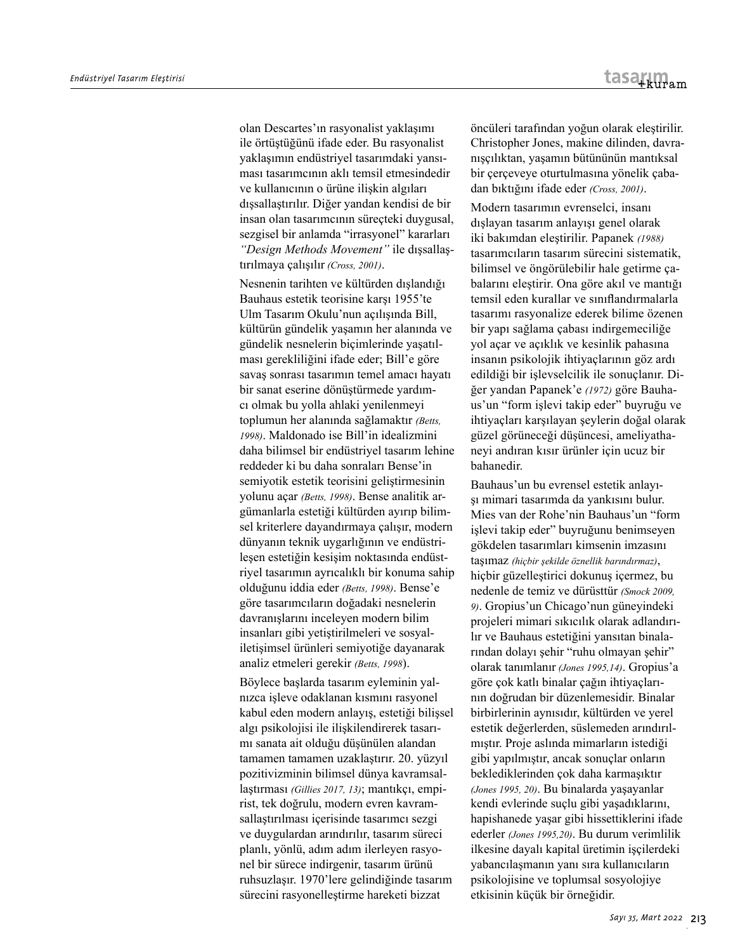olan Descartes'ın rasyonalist yaklaşımı ile örtüştüğünü ifade eder. Bu rasyonalist yaklaşımın endüstriyel tasarımdaki yansıması tasarımcının aklı temsil etmesindedir ve kullanıcının o ürüne ilişkin algıları dışsallaştırılır. Diğer yandan kendisi de bir insan olan tasarımcının süreçteki duygusal, sezgisel bir anlamda "irrasyonel" kararları *"Design Methods Movement"* ile dışsallaştırılmaya çalışılır *(Cross, 2001)*.

Nesnenin tarihten ve kültürden dışlandığı Bauhaus estetik teorisine karşı 1955'te Ulm Tasarım Okulu'nun açılışında Bill, kültürün gündelik yaşamın her alanında ve gündelik nesnelerin biçimlerinde yaşatılması gerekliliğini ifade eder; Bill'e göre savaş sonrası tasarımın temel amacı hayatı bir sanat eserine dönüştürmede yardımcı olmak bu yolla ahlaki yenilenmeyi toplumun her alanında sağlamaktır *(Betts, 1998)*. Maldonado ise Bill'in idealizmini daha bilimsel bir endüstriyel tasarım lehine reddeder ki bu daha sonraları Bense'in semiyotik estetik teorisini geliştirmesinin yolunu açar *(Betts, 1998)*. Bense analitik argümanlarla estetiği kültürden ayırıp bilimsel kriterlere dayandırmaya çalışır, modern dünyanın teknik uygarlığının ve endüstrileşen estetiğin kesişim noktasında endüstriyel tasarımın ayrıcalıklı bir konuma sahip olduğunu iddia eder *(Betts, 1998)*. Bense'e göre tasarımcıların doğadaki nesnelerin davranışlarını inceleyen modern bilim insanları gibi yetiştirilmeleri ve sosyaliletişimsel ürünleri semiyotiğe dayanarak analiz etmeleri gerekir *(Betts, 1998*).

Böylece başlarda tasarım eyleminin yalnızca işleve odaklanan kısmını rasyonel kabul eden modern anlayış, estetiği bilişsel algı psikolojisi ile ilişkilendirerek tasarımı sanata ait olduğu düşünülen alandan tamamen tamamen uzaklaştırır. 20. yüzyıl pozitivizminin bilimsel dünya kavramsallaştırması *(Gillies 2017, 13)*; mantıkçı, empirist, tek doğrulu, modern evren kavramsallaştırılması içerisinde tasarımcı sezgi ve duygulardan arındırılır, tasarım süreci planlı, yönlü, adım adım ilerleyen rasyonel bir sürece indirgenir, tasarım ürünü ruhsuzlaşır. 1970'lere gelindiğinde tasarım sürecini rasyonelleştirme hareketi bizzat

öncüleri tarafından yoğun olarak eleştirilir. Christopher Jones, makine dilinden, davranışçılıktan, yaşamın bütününün mantıksal bir çerçeveye oturtulmasına yönelik çabadan bıktığını ifade eder *(Cross, 2001)*.

Modern tasarımın evrenselci, insanı dışlayan tasarım anlayışı genel olarak iki bakımdan eleştirilir. Papanek *(1988)* tasarımcıların tasarım sürecini sistematik, bilimsel ve öngörülebilir hale getirme çabalarını eleştirir. Ona göre akıl ve mantığı temsil eden kurallar ve sınıflandırmalarla tasarımı rasyonalize ederek bilime özenen bir yapı sağlama çabası indirgemeciliğe yol açar ve açıklık ve kesinlik pahasına insanın psikolojik ihtiyaçlarının göz ardı edildiği bir işlevselcilik ile sonuçlanır. Diğer yandan Papanek'e *(1972)* göre Bauhaus'un "form işlevi takip eder" buyruğu ve ihtiyaçları karşılayan şeylerin doğal olarak güzel görüneceği düşüncesi, ameliyathaneyi andıran kısır ürünler için ucuz bir bahanedir.

Bauhaus'un bu evrensel estetik anlayışı mimari tasarımda da yankısını bulur. Mies van der Rohe'nin Bauhaus'un "form işlevi takip eder" buyruğunu benimseyen gökdelen tasarımları kimsenin imzasını taşımaz *(hiçbir şekilde öznellik barındırmaz)*, hiçbir güzelleştirici dokunuş içermez, bu nedenle de temiz ve dürüsttür *(Smock 2009, 9)*. Gropius'un Chicago'nun güneyindeki projeleri mimari sıkıcılık olarak adlandırılır ve Bauhaus estetiğini yansıtan binalarından dolayı şehir "ruhu olmayan şehir" olarak tanımlanır *(Jones 1995,14)*. Gropius'a göre çok katlı binalar çağın ihtiyaçlarının doğrudan bir düzenlemesidir. Binalar birbirlerinin aynısıdır, kültürden ve yerel estetik değerlerden, süslemeden arındırılmıştır. Proje aslında mimarların istediği gibi yapılmıştır, ancak sonuçlar onların beklediklerinden çok daha karmaşıktır *(Jones 1995, 20)*. Bu binalarda yaşayanlar kendi evlerinde suçlu gibi yaşadıklarını, hapishanede yaşar gibi hissettiklerini ifade ederler *(Jones 1995,20)*. Bu durum verimlilik ilkesine dayalı kapital üretimin işçilerdeki yabancılaşmanın yanı sıra kullanıcıların psikolojisine ve toplumsal sosyolojiye etkisinin küçük bir örneğidir.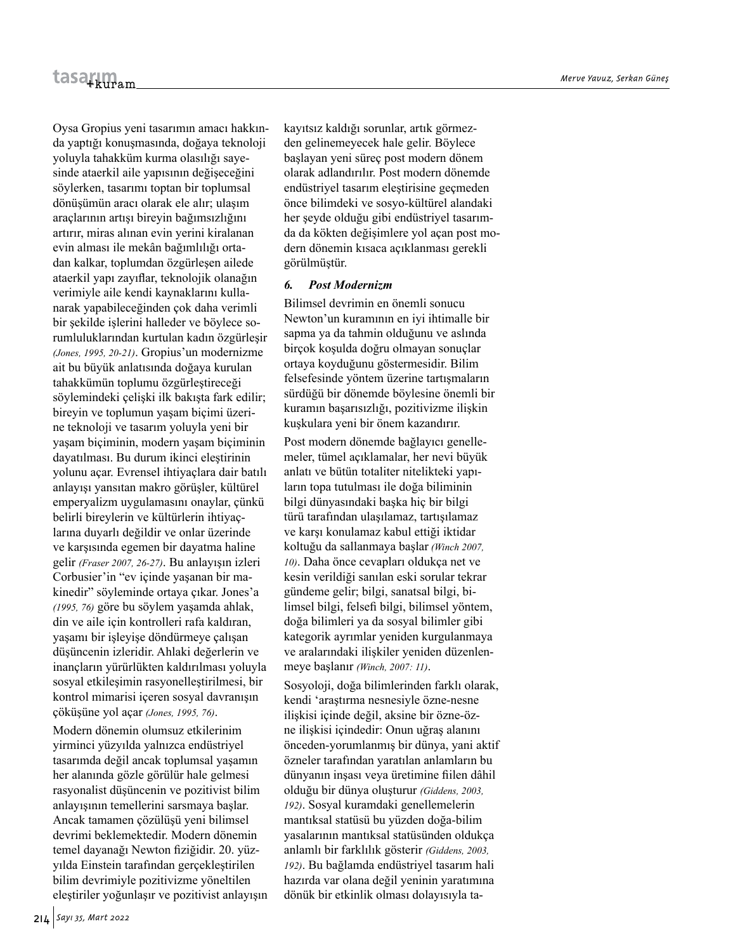Oysa Gropius yeni tasarımın amacı hakkında yaptığı konuşmasında, doğaya teknoloji yoluyla tahakküm kurma olasılığı sayesinde ataerkil aile yapısının değişeceğini söylerken, tasarımı toptan bir toplumsal dönüşümün aracı olarak ele alır; ulaşım araçlarının artışı bireyin bağımsızlığını artırır, miras alınan evin yerini kiralanan evin alması ile mekân bağımlılığı ortadan kalkar, toplumdan özgürleşen ailede ataerkil yapı zayıflar, teknolojik olanağın verimiyle aile kendi kaynaklarını kullanarak yapabileceğinden çok daha verimli bir şekilde işlerini halleder ve böylece sorumluluklarından kurtulan kadın özgürleşir *(Jones, 1995, 20-21)*. Gropius'un modernizme ait bu büyük anlatısında doğaya kurulan tahakkümün toplumu özgürleştireceği söylemindeki çelişki ilk bakışta fark edilir; bireyin ve toplumun yaşam biçimi üzerine teknoloji ve tasarım yoluyla yeni bir yaşam biçiminin, modern yaşam biçiminin dayatılması. Bu durum ikinci eleştirinin yolunu açar. Evrensel ihtiyaçlara dair batılı anlayışı yansıtan makro görüşler, kültürel emperyalizm uygulamasını onaylar, çünkü belirli bireylerin ve kültürlerin ihtiyaçlarına duyarlı değildir ve onlar üzerinde ve karşısında egemen bir dayatma haline gelir *(Fraser 2007, 26-27)*. Bu anlayışın izleri Corbusier'in "ev içinde yaşanan bir makinedir" söyleminde ortaya çıkar. Jones'a *(1995, 76)* göre bu söylem yaşamda ahlak, din ve aile için kontrolleri rafa kaldıran, yaşamı bir işleyişe döndürmeye çalışan düşüncenin izleridir. Ahlaki değerlerin ve inançların yürürlükten kaldırılması yoluyla sosyal etkileşimin rasyonelleştirilmesi, bir kontrol mimarisi içeren sosyal davranışın çöküşüne yol açar *(Jones, 1995, 76)*.

Modern dönemin olumsuz etkilerinim yirminci yüzyılda yalnızca endüstriyel tasarımda değil ancak toplumsal yaşamın her alanında gözle görülür hale gelmesi rasyonalist düşüncenin ve pozitivist bilim anlayışının temellerini sarsmaya başlar. Ancak tamamen çözülüşü yeni bilimsel devrimi beklemektedir. Modern dönemin temel dayanağı Newton fiziğidir. 20. yüzyılda Einstein tarafından gerçekleştirilen bilim devrimiyle pozitivizme yöneltilen eleştiriler yoğunlaşır ve pozitivist anlayışın kayıtsız kaldığı sorunlar, artık görmezden gelinemeyecek hale gelir. Böylece başlayan yeni süreç post modern dönem olarak adlandırılır. Post modern dönemde endüstriyel tasarım eleştirisine geçmeden önce bilimdeki ve sosyo-kültürel alandaki her şeyde olduğu gibi endüstriyel tasarımda da kökten değişimlere yol açan post modern dönemin kısaca açıklanması gerekli görülmüştür.

#### *6. Post Modernizm*

Bilimsel devrimin en önemli sonucu Newton'un kuramının en iyi ihtimalle bir sapma ya da tahmin olduğunu ve aslında birçok koşulda doğru olmayan sonuçlar ortaya koyduğunu göstermesidir. Bilim felsefesinde yöntem üzerine tartışmaların sürdüğü bir dönemde böylesine önemli bir kuramın başarısızlığı, pozitivizme ilişkin kuşkulara yeni bir önem kazandırır.

Post modern dönemde bağlayıcı genellemeler, tümel açıklamalar, her nevi büyük anlatı ve bütün totaliter nitelikteki yapıların topa tutulması ile doğa biliminin bilgi dünyasındaki başka hiç bir bilgi türü tarafından ulaşılamaz, tartışılamaz ve karşı konulamaz kabul ettiği iktidar koltuğu da sallanmaya başlar *(Winch 2007, 10)*. Daha önce cevapları oldukça net ve kesin verildiği sanılan eski sorular tekrar gündeme gelir; bilgi, sanatsal bilgi, bilimsel bilgi, felsefi bilgi, bilimsel yöntem, doğa bilimleri ya da sosyal bilimler gibi kategorik ayrımlar yeniden kurgulanmaya ve aralarındaki ilişkiler yeniden düzenlenmeye başlanır *(Winch, 2007: 11)*.

Sosyoloji, doğa bilimlerinden farklı olarak, kendi 'araştırma nesnesiyle özne-nesne ilişkisi içinde değil, aksine bir özne-özne ilişkisi içindedir: Onun uğraş alanını önceden-yorumlanmış bir dünya, yani aktif özneler tarafından yaratılan anlamların bu dünyanın inşası veya üretimine fiilen dâhil olduğu bir dünya oluşturur *(Giddens, 2003, 192)*. Sosyal kuramdaki genellemelerin mantıksal statüsü bu yüzden doğa-bilim yasalarının mantıksal statüsünden oldukça anlamlı bir farklılık gösterir *(Giddens, 2003, 192)*. Bu bağlamda endüstriyel tasarım hali hazırda var olana değil yeninin yaratımına dönük bir etkinlik olması dolayısıyla ta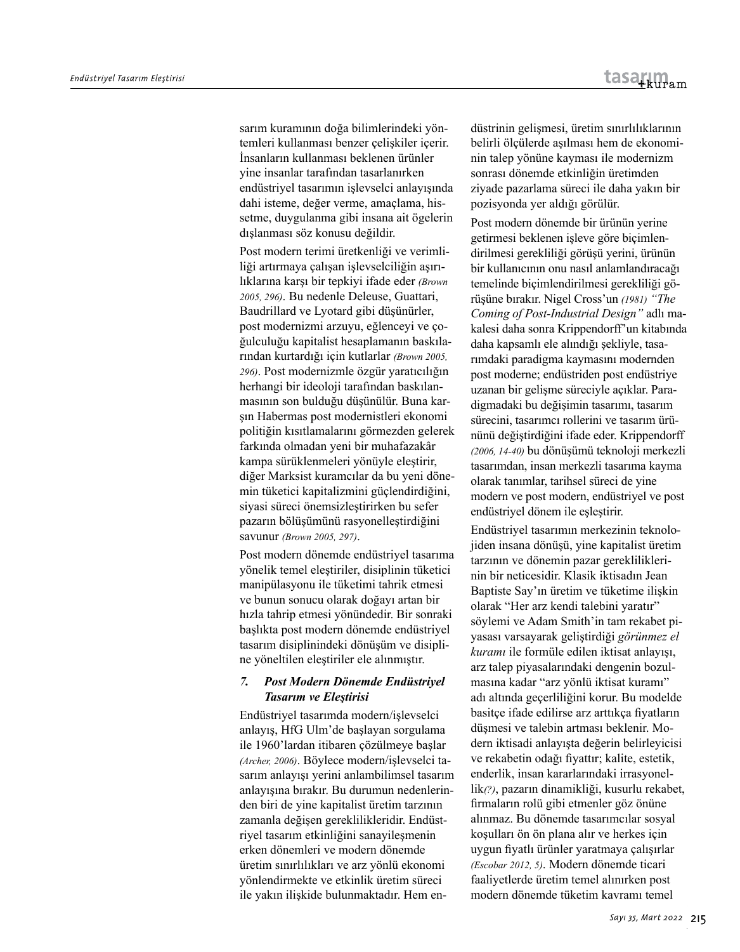sarım kuramının doğa bilimlerindeki yöntemleri kullanması benzer çelişkiler içerir. İnsanların kullanması beklenen ürünler yine insanlar tarafından tasarlanırken endüstriyel tasarımın işlevselci anlayışında dahi isteme, değer verme, amaçlama, hissetme, duygulanma gibi insana ait ögelerin dışlanması söz konusu değildir.

Post modern terimi üretkenliği ve verimliliği artırmaya çalışan işlevselciliğin aşırılıklarına karşı bir tepkiyi ifade eder *(Brown 2005, 296)*. Bu nedenle Deleuse, Guattari, Baudrillard ve Lyotard gibi düşünürler, post modernizmi arzuyu, eğlenceyi ve çoğulculuğu kapitalist hesaplamanın baskılarından kurtardığı için kutlarlar *(Brown 2005, 296)*. Post modernizmle özgür yaratıcılığın herhangi bir ideoloji tarafından baskılanmasının son bulduğu düşünülür. Buna karşın Habermas post modernistleri ekonomi politiğin kısıtlamalarını görmezden gelerek farkında olmadan yeni bir muhafazakâr kampa sürüklenmeleri yönüyle eleştirir, diğer Marksist kuramcılar da bu yeni dönemin tüketici kapitalizmini güçlendirdiğini, siyasi süreci önemsizleştirirken bu sefer pazarın bölüşümünü rasyonelleştirdiğini savunur *(Brown 2005, 297)*.

Post modern dönemde endüstriyel tasarıma yönelik temel eleştiriler, disiplinin tüketici manipülasyonu ile tüketimi tahrik etmesi ve bunun sonucu olarak doğayı artan bir hızla tahrip etmesi yönündedir. Bir sonraki başlıkta post modern dönemde endüstriyel tasarım disiplinindeki dönüşüm ve disipline yöneltilen eleştiriler ele alınmıştır.

# *7. Post Modern Dönemde Endüstriyel Tasarım ve Eleştirisi*

Endüstriyel tasarımda modern/işlevselci anlayış, HfG Ulm'de başlayan sorgulama ile 1960'lardan itibaren çözülmeye başlar *(Archer, 2006)*. Böylece modern/işlevselci tasarım anlayışı yerini anlambilimsel tasarım anlayışına bırakır. Bu durumun nedenlerinden biri de yine kapitalist üretim tarzının zamanla değişen gereklilikleridir. Endüstriyel tasarım etkinliğini sanayileşmenin erken dönemleri ve modern dönemde üretim sınırlılıkları ve arz yönlü ekonomi yönlendirmekte ve etkinlik üretim süreci ile yakın ilişkide bulunmaktadır. Hem endüstrinin gelişmesi, üretim sınırlılıklarının belirli ölçülerde aşılması hem de ekonominin talep yönüne kayması ile modernizm sonrası dönemde etkinliğin üretimden ziyade pazarlama süreci ile daha yakın bir pozisyonda yer aldığı görülür.

Post modern dönemde bir ürünün yerine getirmesi beklenen işleve göre biçimlendirilmesi gerekliliği görüşü yerini, ürünün bir kullanıcının onu nasıl anlamlandıracağı temelinde biçimlendirilmesi gerekliliği görüşüne bırakır. Nigel Cross'un *(1981) "The Coming of Post-Industrial Design"* adlı makalesi daha sonra Krippendorff'un kitabında daha kapsamlı ele alındığı şekliyle, tasarımdaki paradigma kaymasını modernden post moderne; endüstriden post endüstriye uzanan bir gelişme süreciyle açıklar. Paradigmadaki bu değişimin tasarımı, tasarım sürecini, tasarımcı rollerini ve tasarım ürününü değiştirdiğini ifade eder. Krippendorff *(2006, 14-40)* bu dönüşümü teknoloji merkezli tasarımdan, insan merkezli tasarıma kayma olarak tanımlar, tarihsel süreci de yine modern ve post modern, endüstriyel ve post endüstriyel dönem ile eşleştirir.

Endüstriyel tasarımın merkezinin teknolojiden insana dönüşü, yine kapitalist üretim tarzının ve dönemin pazar gerekliliklerinin bir neticesidir. Klasik iktisadın Jean Baptiste Say'ın üretim ve tüketime ilişkin olarak "Her arz kendi talebini yaratır" söylemi ve Adam Smith'in tam rekabet piyasası varsayarak geliştirdiği *görünmez el kuramı* ile formüle edilen iktisat anlayışı, arz talep piyasalarındaki dengenin bozulmasına kadar "arz yönlü iktisat kuramı" adı altında geçerliliğini korur. Bu modelde basitçe ifade edilirse arz arttıkça fiyatların düşmesi ve talebin artması beklenir. Modern iktisadi anlayışta değerin belirleyicisi ve rekabetin odağı fiyattır; kalite, estetik, enderlik, insan kararlarındaki irrasyonellik*(?)*, pazarın dinamikliği, kusurlu rekabet, firmaların rolü gibi etmenler göz önüne alınmaz. Bu dönemde tasarımcılar sosyal koşulları ön ön plana alır ve herkes için uygun fiyatlı ürünler yaratmaya çalışırlar *(Escobar 2012, 5)*. Modern dönemde ticari faaliyetlerde üretim temel alınırken post modern dönemde tüketim kavramı temel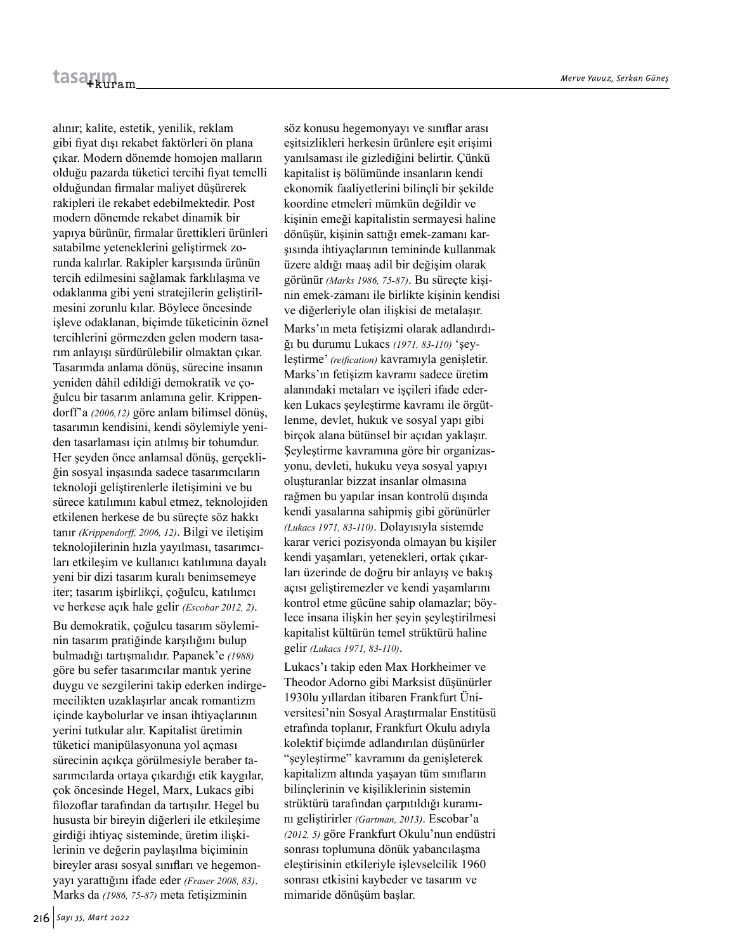alınır; kalite, estetik, yenilik, reklam gibi fiyat dışı rekabet faktörleri ön plana çıkar. Modern dönemde homojen malların olduğu pazarda tüketici tercihi fiyat temelli olduğundan firmalar maliyet düşürerek rakipleri ile rekabet edebilmektedir. Post modern dönemde rekabet dinamik bir yapıya bürünür, firmalar ürettikleri ürünleri satabilme yeteneklerini geliştirmek zorunda kalırlar. Rakipler karşısında ürünün tercih edilmesini sağlamak farklılaşma ve odaklanma gibi yeni stratejilerin geliştirilmesini zorunlu kılar. Böylece öncesinde işleve odaklanan, biçimde tüketicinin öznel tercihlerini görmezden gelen modern tasarım anlayışı sürdürülebilir olmaktan çıkar. Tasarımda anlama dönüş, sürecine insanın yeniden dâhil edildiği demokratik ve çoğulcu bir tasarım anlamına gelir. Krippendorff'a *(2006,12)* göre anlam bilimsel dönüş, tasarımın kendisini, kendi söylemiyle yeniden tasarlaması için atılmış bir tohumdur. Her şeyden önce anlamsal dönüş, gerçekliğin sosyal inşasında sadece tasarımcıların teknoloji geliştirenlerle iletişimini ve bu sürece katılımını kabul etmez, teknolojiden etkilenen herkese de bu süreçte söz hakkı tanır *(Krippendorff, 2006, 12)*. Bilgi ve iletişim teknolojilerinin hızla yayılması, tasarımcıları etkileşim ve kullanıcı katılımına dayalı yeni bir dizi tasarım kuralı benimsemeye iter; tasarım işbirlikçi, çoğulcu, katılımcı ve herkese açık hale gelir *(Escobar 2012, 2)*.

Bu demokratik, çoğulcu tasarım söyleminin tasarım pratiğinde karşılığını bulup bulmadığı tartışmalıdır. Papanek'e *(1988)* göre bu sefer tasarımcılar mantık yerine duygu ve sezgilerini takip ederken indirgemecilikten uzaklaşırlar ancak romantizm içinde kaybolurlar ve insan ihtiyaçlarının yerini tutkular alır. Kapitalist üretimin tüketici manipülasyonuna yol açması sürecinin açıkça görülmesiyle beraber tasarımcılarda ortaya çıkardığı etik kaygılar, çok öncesinde Hegel, Marx, Lukacs gibi filozoflar tarafından da tartışılır. Hegel bu hususta bir bireyin diğerleri ile etkileşime girdiği ihtiyaç sisteminde, üretim ilişkilerinin ve değerin paylaşılma biçiminin bireyler arası sosyal sınıfları ve hegemonyayı yarattığını ifade eder *(Fraser 2008, 83)*. Marks da *(1986, 75-87)* meta fetişizminin

söz konusu hegemonyayı ve sınıflar arası eşitsizlikleri herkesin ürünlere eşit erişimi yanılsaması ile gizlediğini belirtir. Çünkü kapitalist iş bölümünde insanların kendi ekonomik faaliyetlerini bilinçli bir şekilde koordine etmeleri mümkün değildir ve kişinin emeği kapitalistin sermayesi haline dönüşür, kişinin sattığı emek-zamanı karşısında ihtiyaçlarının temininde kullanmak üzere aldığı maaş adil bir değişim olarak görünür *(Marks 1986, 75-87)*. Bu süreçte kişinin emek-zamanı ile birlikte kişinin kendisi ve diğerleriyle olan ilişkisi de metalaşır.

Marks'ın meta fetişizmi olarak adlandırdığı bu durumu Lukacs *(1971, 83-110)* 'şeyleştirme' *(reification)* kavramıyla genişletir. Marks'ın fetişizm kavramı sadece üretim alanındaki metaları ve iscileri ifade ederken Lukacs şeyleştirme kavramı ile örgütlenme, devlet, hukuk ve sosyal yapı gibi birçok alana bütünsel bir açıdan yaklaşır. Şeyleştirme kavramına göre bir organizasyonu, devleti, hukuku veya sosyal yapıyı oluşturanlar bizzat insanlar olmasına rağmen bu yapılar insan kontrolü dışında kendi yasalarına sahipmiş gibi görünürler *(Lukacs 1971, 83-110)*. Dolayısıyla sistemde karar verici pozisyonda olmayan bu kişiler kendi yaşamları, yetenekleri, ortak çıkarları üzerinde de doğru bir anlayış ve bakış açısı geliştiremezler ve kendi yaşamlarını kontrol etme gücüne sahip olamazlar; böylece insana ilişkin her şeyin şeyleştirilmesi kapitalist kültürün temel strüktürü haline gelir *(Lukacs 1971, 83-110)*.

Lukacs'ı takip eden Max Horkheimer ve Theodor Adorno gibi Marksist düşünürler 1930lu yıllardan itibaren Frankfurt Üniversitesi'nin Sosyal Araştırmalar Enstitüsü etrafında toplanır, Frankfurt Okulu adıyla kolektif biçimde adlandırılan düşünürler "şeyleştirme" kavramını da genişleterek kapitalizm altında yaşayan tüm sınıfların bilinçlerinin ve kişiliklerinin sistemin strüktürü tarafından çarpıtıldığı kuramını geliştirirler *(Gartman, 2013)*. Escobar'a *(2012, 5)* göre Frankfurt Okulu'nun endüstri sonrası toplumuna dönük yabancılaşma eleştirisinin etkileriyle işlevselcilik 1960 sonrası etkisini kaybeder ve tasarım ve mimaride dönüşüm başlar.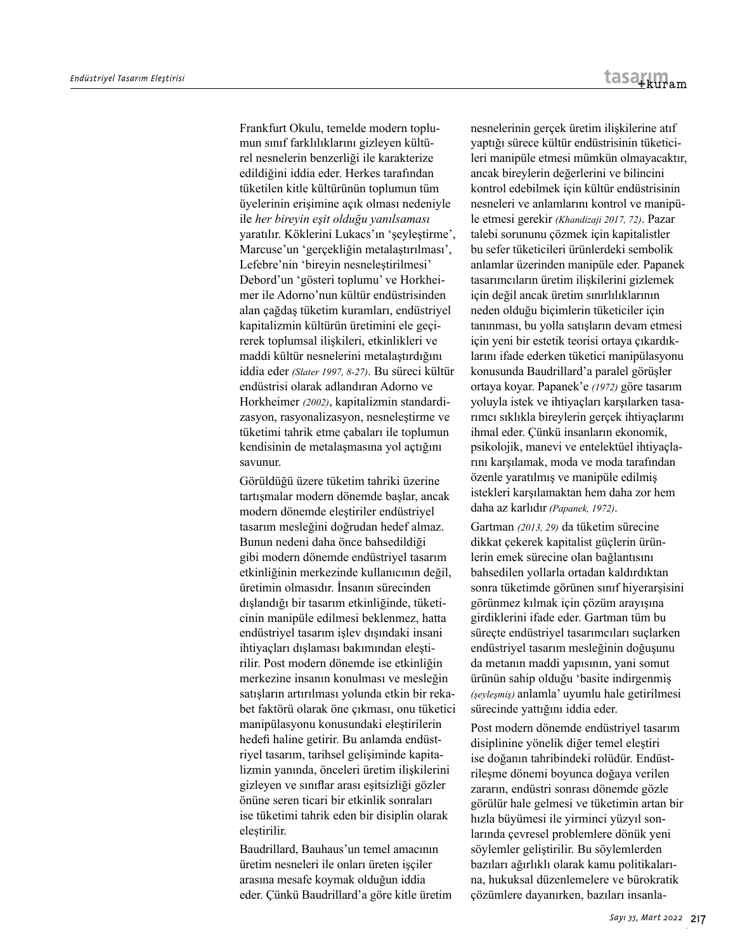Frankfurt Okulu, temelde modern toplumun sınıf farklılıklarını gizleyen kültürel nesnelerin benzerliği ile karakterize edildiğini iddia eder. Herkes tarafından tüketilen kitle kültürünün toplumun tüm üyelerinin erişimine açık olması nedeniyle ile *her bireyin eşit olduğu yanılsaması*  yaratılır. Köklerini Lukacs'ın 'şeyleştirme', Marcuse'un 'gerçekliğin metalaştırılması', Lefebre'nin 'bireyin nesneleştirilmesi' Debord'un 'gösteri toplumu' ve Horkheimer ile Adorno'nun kültür endüstrisinden alan çağdaş tüketim kuramları, endüstriyel kapitalizmin kültürün üretimini ele geçirerek toplumsal ilişkileri, etkinlikleri ve maddi kültür nesnelerini metalaştırdığını iddia eder *(Slater 1997, 8-27)*. Bu süreci kültür endüstrisi olarak adlandıran Adorno ve Horkheimer *(2002)*, kapitalizmin standardizasyon, rasyonalizasyon, nesneleştirme ve tüketimi tahrik etme çabaları ile toplumun kendisinin de metalaşmasına yol açtığını savunur.

Görüldüğü üzere tüketim tahriki üzerine tartışmalar modern dönemde başlar, ancak modern dönemde eleştiriler endüstriyel tasarım mesleğini doğrudan hedef almaz. Bunun nedeni daha önce bahsedildiği gibi modern dönemde endüstriyel tasarım etkinliğinin merkezinde kullanıcının değil, üretimin olmasıdır. İnsanın sürecinden dışlandığı bir tasarım etkinliğinde, tüketicinin manipüle edilmesi beklenmez, hatta endüstriyel tasarım işlev dışındaki insani ihtiyaçları dışlaması bakımından eleştirilir. Post modern dönemde ise etkinliğin merkezine insanın konulması ve mesleğin satışların artırılması yolunda etkin bir rekabet faktörü olarak öne çıkması, onu tüketici manipülasyonu konusundaki eleştirilerin hedefi haline getirir. Bu anlamda endüstriyel tasarım, tarihsel gelişiminde kapitalizmin yanında, önceleri üretim ilişkilerini gizleyen ve sınıflar arası eşitsizliği gözler önüne seren ticari bir etkinlik sonraları ise tüketimi tahrik eden bir disiplin olarak eleştirilir.

Baudrillard, Bauhaus'un temel amacının üretim nesneleri ile onları üreten işçiler arasına mesafe koymak olduğun iddia eder. Çünkü Baudrillard'a göre kitle üretim nesnelerinin gerçek üretim ilişkilerine atıf yaptığı sürece kültür endüstrisinin tüketicileri manipüle etmesi mümkün olmayacaktır, ancak bireylerin değerlerini ve bilincini kontrol edebilmek için kültür endüstrisinin nesneleri ve anlamlarını kontrol ve manipüle etmesi gerekir *(Khandizaji 2017, 72)*. Pazar talebi sorununu çözmek için kapitalistler bu sefer tüketicileri ürünlerdeki sembolik anlamlar üzerinden manipüle eder. Papanek tasarımcıların üretim ilişkilerini gizlemek için değil ancak üretim sınırlılıklarının neden olduğu biçimlerin tüketiciler için tanınması, bu yolla satışların devam etmesi için yeni bir estetik teorisi ortaya çıkardıklarını ifade ederken tüketici manipülasyonu konusunda Baudrillard'a paralel görüşler ortaya koyar. Papanek'e *(1972)* göre tasarım yoluyla istek ve ihtiyaçları karşılarken tasarımcı sıklıkla bireylerin gerçek ihtiyaçlarını ihmal eder. Çünkü insanların ekonomik, psikolojik, manevi ve entelektüel ihtiyaçlarını karşılamak, moda ve moda tarafından özenle yaratılmış ve manipüle edilmiş istekleri karşılamaktan hem daha zor hem daha az karlıdır *(Papanek, 1972)*.

Gartman *(2013, 29)* da tüketim sürecine dikkat çekerek kapitalist güçlerin ürünlerin emek sürecine olan bağlantısını bahsedilen yollarla ortadan kaldırdıktan sonra tüketimde görünen sınıf hiyerarşisini görünmez kılmak için çözüm arayışına girdiklerini ifade eder. Gartman tüm bu süreçte endüstriyel tasarımcıları suçlarken endüstriyel tasarım mesleğinin doğuşunu da metanın maddi yapısının, yani somut ürünün sahip olduğu 'basite indirgenmiş *(şeyleşmiş)* anlamla' uyumlu hale getirilmesi sürecinde yattığını iddia eder.

Post modern dönemde endüstriyel tasarım disiplinine yönelik diğer temel eleştiri ise doğanın tahribindeki rolüdür. Endüstrileşme dönemi boyunca doğaya verilen zararın, endüstri sonrası dönemde gözle görülür hale gelmesi ve tüketimin artan bir hızla büyümesi ile yirminci yüzyıl sonlarında çevresel problemlere dönük yeni söylemler geliştirilir. Bu söylemlerden bazıları ağırlıklı olarak kamu politikalarına, hukuksal düzenlemelere ve bürokratik çözümlere dayanırken, bazıları insanla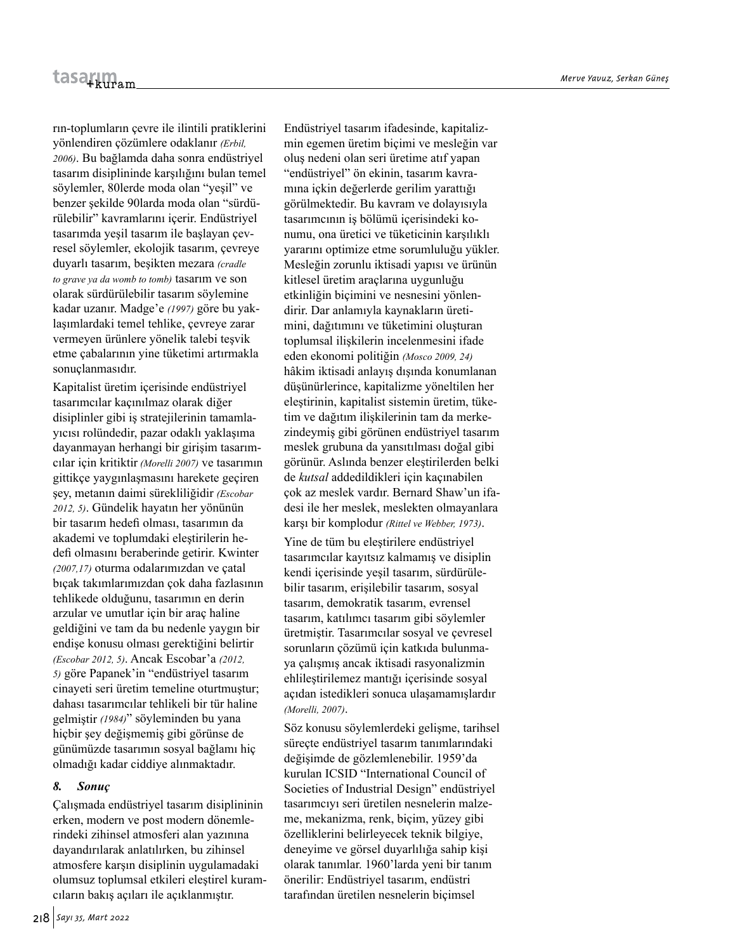rın-toplumların çevre ile ilintili pratiklerini yönlendiren çözümlere odaklanır *(Erbil, 2006)*. Bu bağlamda daha sonra endüstriyel tasarım disiplininde karşılığını bulan temel söylemler, 80lerde moda olan "yeşil" ve benzer şekilde 90larda moda olan "sürdürülebilir" kavramlarını içerir. Endüstriyel tasarımda yeşil tasarım ile başlayan çevresel söylemler, ekolojik tasarım, çevreye duyarlı tasarım, beşikten mezara *(cradle to grave ya da womb to tomb)* tasarım ve son olarak sürdürülebilir tasarım söylemine kadar uzanır. Madge'e *(1997)* göre bu yaklaşımlardaki temel tehlike, çevreye zarar vermeyen ürünlere yönelik talebi teşvik etme çabalarının yine tüketimi artırmakla sonuçlanmasıdır.

Kapitalist üretim içerisinde endüstriyel tasarımcılar kaçınılmaz olarak diğer disiplinler gibi iş stratejilerinin tamamlayıcısı rolündedir, pazar odaklı yaklaşıma dayanmayan herhangi bir girişim tasarımcılar için kritiktir *(Morelli 2007)* ve tasarımın gittikçe yaygınlaşmasını harekete geçiren şey, metanın daimi sürekliliğidir *(Escobar 2012, 5)*. Gündelik hayatın her yönünün bir tasarım hedefi olması, tasarımın da akademi ve toplumdaki eleştirilerin hedefi olmasını beraberinde getirir. Kwinter *(2007,17)* oturma odalarımızdan ve çatal bıçak takımlarımızdan çok daha fazlasının tehlikede olduğunu, tasarımın en derin arzular ve umutlar için bir araç haline geldiğini ve tam da bu nedenle yaygın bir endişe konusu olması gerektiğini belirtir *(Escobar 2012, 5)*. Ancak Escobar'a *(2012, 5)* göre Papanek'in "endüstriyel tasarım cinayeti seri üretim temeline oturtmuştur; dahası tasarımcılar tehlikeli bir tür haline gelmiştir *(1984)*" söyleminden bu yana hiçbir şey değişmemiş gibi görünse de günümüzde tasarımın sosyal bağlamı hiç olmadığı kadar ciddiye alınmaktadır.

#### *8. Sonuç*

Çalışmada endüstriyel tasarım disiplininin erken, modern ve post modern dönemlerindeki zihinsel atmosferi alan yazınına dayandırılarak anlatılırken, bu zihinsel atmosfere karşın disiplinin uygulamadaki olumsuz toplumsal etkileri eleştirel kuramcıların bakış açıları ile açıklanmıştır.

Endüstriyel tasarım ifadesinde, kapitalizmin egemen üretim biçimi ve mesleğin var oluş nedeni olan seri üretime atıf yapan "endüstriyel" ön ekinin, tasarım kavramına içkin değerlerde gerilim yarattığı görülmektedir. Bu kavram ve dolayısıyla tasarımcının iş bölümü içerisindeki konumu, ona üretici ve tüketicinin karşılıklı yararını optimize etme sorumluluğu yükler. Mesleğin zorunlu iktisadi yapısı ve ürünün kitlesel üretim araçlarına uygunluğu etkinliğin biçimini ve nesnesini yönlendirir. Dar anlamıyla kaynakların üretimini, dağıtımını ve tüketimini oluşturan toplumsal ilişkilerin incelenmesini ifade eden ekonomi politiğin *(Mosco 2009, 24)* hâkim iktisadi anlayış dışında konumlanan düşünürlerince, kapitalizme yöneltilen her eleştirinin, kapitalist sistemin üretim, tüketim ve dağıtım ilişkilerinin tam da merkezindeymiş gibi görünen endüstriyel tasarım meslek grubuna da yansıtılması doğal gibi görünür. Aslında benzer eleştirilerden belki de *kutsal* addedildikleri için kaçınabilen çok az meslek vardır. Bernard Shaw'un ifadesi ile her meslek, meslekten olmayanlara karşı bir komplodur *(Rittel ve Webber, 1973)*.

Yine de tüm bu eleştirilere endüstriyel tasarımcılar kayıtsız kalmamış ve disiplin kendi içerisinde yeşil tasarım, sürdürülebilir tasarım, erişilebilir tasarım, sosyal tasarım, demokratik tasarım, evrensel tasarım, katılımcı tasarım gibi söylemler üretmiştir. Tasarımcılar sosyal ve çevresel sorunların çözümü için katkıda bulunmaya çalışmış ancak iktisadi rasyonalizmin ehlileştirilemez mantığı içerisinde sosyal açıdan istedikleri sonuca ulaşamamışlardır *(Morelli, 2007)*.

Söz konusu söylemlerdeki gelişme, tarihsel süreçte endüstriyel tasarım tanımlarındaki değişimde de gözlemlenebilir. 1959'da kurulan ICSID "International Council of Societies of Industrial Design" endüstriyel tasarımcıyı seri üretilen nesnelerin malzeme, mekanizma, renk, biçim, yüzey gibi özelliklerini belirleyecek teknik bilgiye, deneyime ve görsel duyarlılığa sahip kişi olarak tanımlar. 1960'larda yeni bir tanım önerilir: Endüstriyel tasarım, endüstri tarafından üretilen nesnelerin biçimsel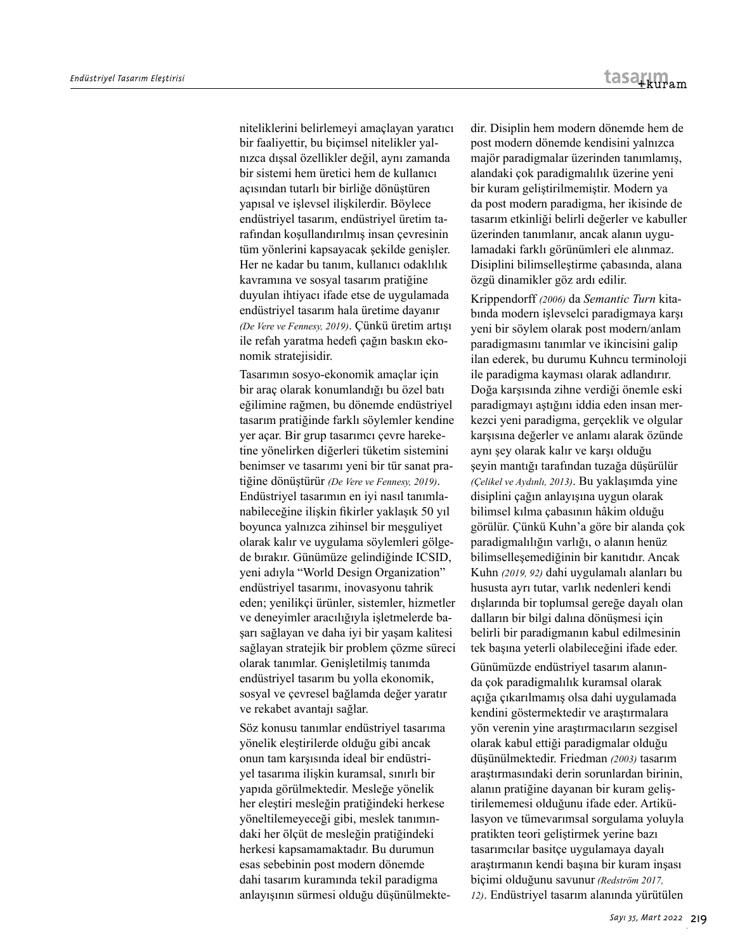niteliklerini belirlemeyi amaçlayan yaratıcı bir faaliyettir, bu biçimsel nitelikler yalnızca dışsal özellikler değil, aynı zamanda bir sistemi hem üretici hem de kullanıcı açısından tutarlı bir birliğe dönüştüren yapısal ve işlevsel ilişkilerdir. Böylece endüstriyel tasarım, endüstriyel üretim tarafından koşullandırılmış insan çevresinin tüm yönlerini kapsayacak şekilde genişler. Her ne kadar bu tanım, kullanıcı odaklılık kavramına ve sosyal tasarım pratiğine duyulan ihtiyacı ifade etse de uygulamada endüstriyel tasarım hala üretime dayanır *(De Vere ve Fennesy, 2019)*. Çünkü üretim artışı ile refah yaratma hedefi çağın baskın ekonomik stratejisidir.

Tasarımın sosyo-ekonomik amaçlar için bir araç olarak konumlandığı bu özel batı eğilimine rağmen, bu dönemde endüstriyel tasarım pratiğinde farklı söylemler kendine yer açar. Bir grup tasarımcı çevre hareketine yönelirken diğerleri tüketim sistemini benimser ve tasarımı yeni bir tür sanat pratiğine dönüştürür *(De Vere ve Fennesy, 2019)*. Endüstriyel tasarımın en iyi nasıl tanımlanabileceğine ilişkin fikirler yaklaşık 50 yıl boyunca yalnızca zihinsel bir meşguliyet olarak kalır ve uygulama söylemleri gölgede bırakır. Günümüze gelindiğinde ICSID, yeni adıyla "World Design Organization" endüstriyel tasarımı, inovasyonu tahrik eden; yenilikçi ürünler, sistemler, hizmetler ve deneyimler aracılığıyla işletmelerde başarı sağlayan ve daha iyi bir yaşam kalitesi sağlayan stratejik bir problem çözme süreci olarak tanımlar. Genişletilmiş tanımda endüstriyel tasarım bu yolla ekonomik, sosyal ve çevresel bağlamda değer yaratır ve rekabet avantajı sağlar.

Söz konusu tanımlar endüstriyel tasarıma yönelik eleştirilerde olduğu gibi ancak onun tam karşısında ideal bir endüstriyel tasarıma ilişkin kuramsal, sınırlı bir yapıda görülmektedir. Mesleğe yönelik her eleştiri mesleğin pratiğindeki herkese yöneltilemeyeceği gibi, meslek tanımındaki her ölçüt de mesleğin pratiğindeki herkesi kapsamamaktadır. Bu durumun esas sebebinin post modern dönemde dahi tasarım kuramında tekil paradigma anlayışının sürmesi olduğu düşünülmektedir. Disiplin hem modern dönemde hem de post modern dönemde kendisini yalnızca majör paradigmalar üzerinden tanımlamış, alandaki çok paradigmalılık üzerine yeni bir kuram geliştirilmemiştir. Modern ya da post modern paradigma, her ikisinde de tasarım etkinliği belirli değerler ve kabuller üzerinden tanımlanır, ancak alanın uygulamadaki farklı görünümleri ele alınmaz. Disiplini bilimselleştirme çabasında, alana özgü dinamikler göz ardı edilir.

Krippendorff *(2006)* da *Semantic Turn* kitabında modern işlevselci paradigmaya karşı yeni bir söylem olarak post modern/anlam paradigmasını tanımlar ve ikincisini galip ilan ederek, bu durumu Kuhncu terminoloji ile paradigma kayması olarak adlandırır. Doğa karşısında zihne verdiği önemle eski paradigmayı aştığını iddia eden insan merkezci yeni paradigma, gerçeklik ve olgular karşısına değerler ve anlamı alarak özünde aynı şey olarak kalır ve karşı olduğu şeyin mantığı tarafından tuzağa düşürülür *(Çelikel ve Aydınlı, 2013)*. Bu yaklaşımda yine disiplini çağın anlayışına uygun olarak bilimsel kılma çabasının hâkim olduğu görülür. Çünkü Kuhn'a göre bir alanda çok paradigmalılığın varlığı, o alanın henüz bilimselleşemediğinin bir kanıtıdır. Ancak Kuhn *(2019, 92)* dahi uygulamalı alanları bu hususta ayrı tutar, varlık nedenleri kendi dışlarında bir toplumsal gereğe dayalı olan dalların bir bilgi dalına dönüşmesi için belirli bir paradigmanın kabul edilmesinin tek başına yeterli olabileceğini ifade eder.

Günümüzde endüstriyel tasarım alanında çok paradigmalılık kuramsal olarak açığa çıkarılmamış olsa dahi uygulamada kendini göstermektedir ve araştırmalara yön verenin yine araştırmacıların sezgisel olarak kabul ettiği paradigmalar olduğu düşünülmektedir. Friedman *(2003)* tasarım araştırmasındaki derin sorunlardan birinin, alanın pratiğine dayanan bir kuram geliştirilememesi olduğunu ifade eder. Artikülasyon ve tümevarımsal sorgulama yoluyla pratikten teori geliştirmek yerine bazı tasarımcılar basitçe uygulamaya dayalı araştırmanın kendi başına bir kuram inşası biçimi olduğunu savunur *(Redström 2017, 12)*. Endüstriyel tasarım alanında yürütülen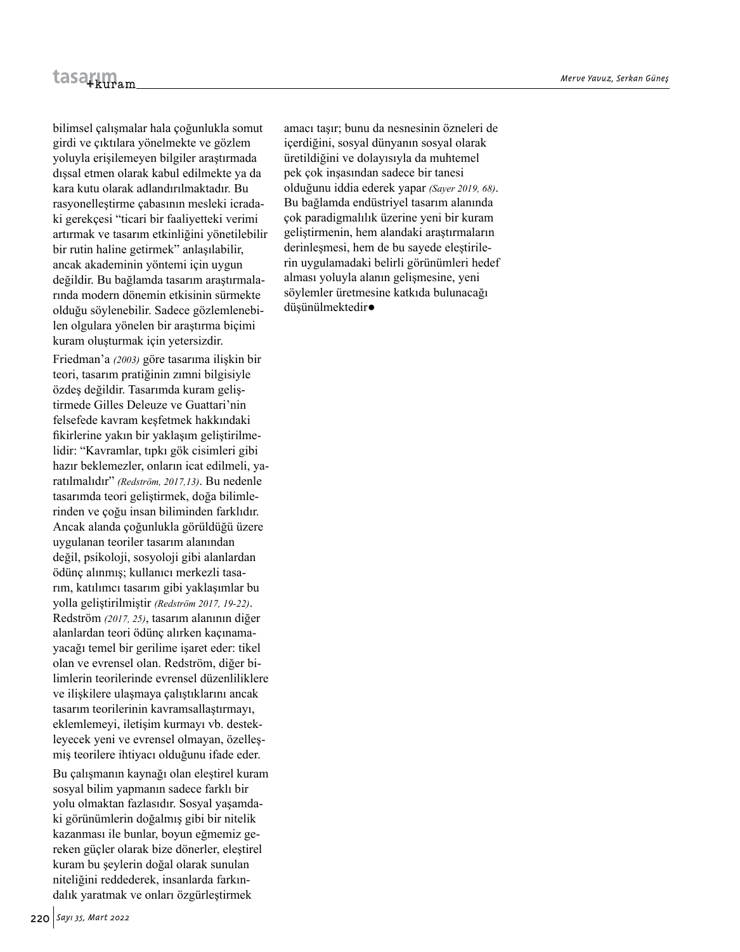bilimsel çalışmalar hala çoğunlukla somut girdi ve çıktılara yönelmekte ve gözlem yoluyla erişilemeyen bilgiler araştırmada dışsal etmen olarak kabul edilmekte ya da kara kutu olarak adlandırılmaktadır. Bu rasyonelleştirme çabasının mesleki icradaki gerekçesi "ticari bir faaliyetteki verimi artırmak ve tasarım etkinliğini yönetilebilir bir rutin haline getirmek" anlaşılabilir, ancak akademinin yöntemi için uygun değildir. Bu bağlamda tasarım araştırmalarında modern dönemin etkisinin sürmekte olduğu söylenebilir. Sadece gözlemlenebilen olgulara yönelen bir araştırma biçimi kuram oluşturmak için yetersizdir.

Friedman'a *(2003)* göre tasarıma ilişkin bir teori, tasarım pratiğinin zımni bilgisiyle özdeş değildir. Tasarımda kuram geliştirmede Gilles Deleuze ve Guattari'nin felsefede kavram keşfetmek hakkındaki fikirlerine yakın bir yaklaşım geliştirilmelidir: "Kavramlar, tıpkı gök cisimleri gibi hazır beklemezler, onların icat edilmeli, yaratılmalıdır" *(Redström, 2017,13)*. Bu nedenle tasarımda teori geliştirmek, doğa bilimlerinden ve çoğu insan biliminden farklıdır. Ancak alanda çoğunlukla görüldüğü üzere uygulanan teoriler tasarım alanından değil, psikoloji, sosyoloji gibi alanlardan ödünç alınmış; kullanıcı merkezli tasarım, katılımcı tasarım gibi yaklaşımlar bu yolla geliştirilmiştir *(Redström 2017, 19-22)*. Redström *(2017, 25)*, tasarım alanının diğer alanlardan teori ödünç alırken kaçınamayacağı temel bir gerilime işaret eder: tikel olan ve evrensel olan. Redström, diğer bilimlerin teorilerinde evrensel düzenliliklere ve ilişkilere ulaşmaya çalıştıklarını ancak tasarım teorilerinin kavramsallaştırmayı, eklemlemeyi, iletişim kurmayı vb. destekleyecek yeni ve evrensel olmayan, özelleşmiş teorilere ihtiyacı olduğunu ifade eder.

Bu çalışmanın kaynağı olan eleştirel kuram sosyal bilim yapmanın sadece farklı bir yolu olmaktan fazlasıdır. Sosyal yaşamdaki görünümlerin doğalmış gibi bir nitelik kazanması ile bunlar, boyun eğmemiz gereken güçler olarak bize dönerler, eleştirel kuram bu şeylerin doğal olarak sunulan niteliğini reddederek, insanlarda farkındalık yaratmak ve onları özgürleştirmek

amacı taşır; bunu da nesnesinin özneleri de içerdiğini, sosyal dünyanın sosyal olarak üretildiğini ve dolayısıyla da muhtemel pek çok inşasından sadece bir tanesi olduğunu iddia ederek yapar *(Sayer 2019, 68)*. Bu bağlamda endüstriyel tasarım alanında çok paradigmalılık üzerine yeni bir kuram geliştirmenin, hem alandaki araştırmaların derinleşmesi, hem de bu sayede eleştirilerin uygulamadaki belirli görünümleri hedef alması yoluyla alanın gelişmesine, yeni söylemler üretmesine katkıda bulunacağı düşünülmektedir•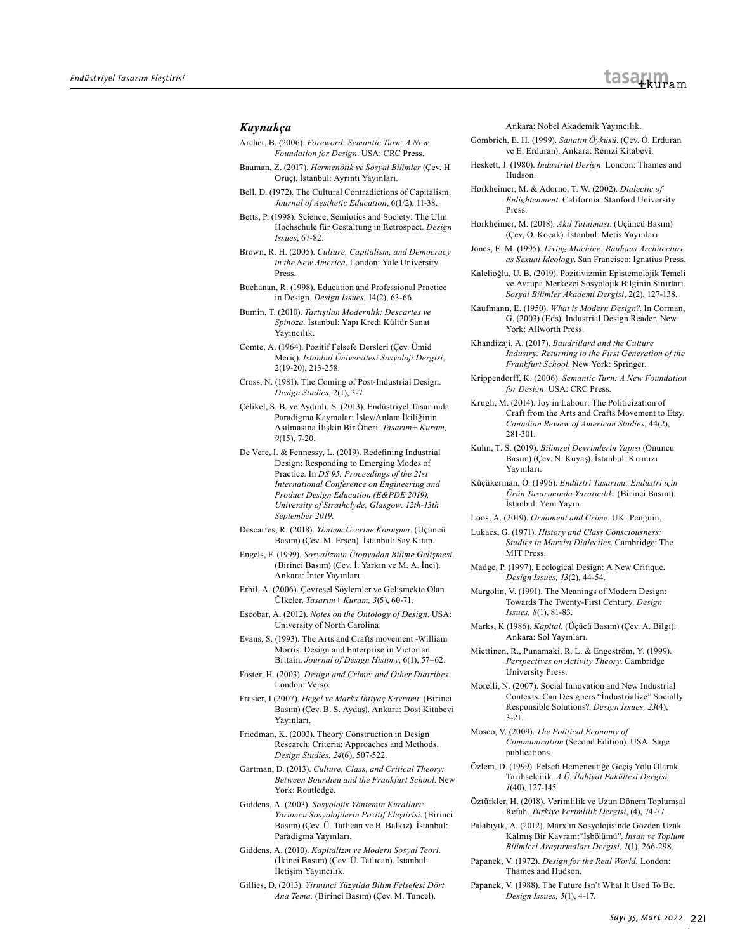#### *Kaynakça*

- Archer, B. (2006). *Foreword: Semantic Turn: A New Foundation for Design*. USA: CRC Press.
- Bauman, Z. (2017). *Hermenötik ve Sosyal Bilimler* (Çev. H. Oruç). İstanbul: Ayrıntı Yayınları.
- Bell, D. (1972). The Cultural Contradictions of Capitalism. *Journal of Aesthetic Education*, 6(1/2), 11-38.
- Betts, P. (1998). Science, Semiotics and Society: The Ulm Hochschule für Gestaltung in Retrospect. *Design Issues*, 67-82.
- Brown, R. H. (2005). *Culture, Capitalism, and Democracy in the New America*. London: Yale University Press.
- Buchanan, R. (1998). Education and Professional Practice in Design. *Design Issues*, 14(2), 63-66.
- Bumin, T. (2010). *Tartışılan Modernlik: Descartes ve Spinoza.* İstanbul: Yapı Kredi Kültür Sanat Yayıncılık.
- Comte, A. (1964). Pozitif Felsefe Dersleri (Çev. Ümid Meriç). *İstanbul Üniversitesi Sosyoloji Dergisi*, 2(19-20), 213-258.
- Cross, N. (1981). The Coming of Post-Industrial Design. *Design Studies*, 2(1), 3-7.
- Çelikel, S. B. ve Aydınlı, S. (2013). Endüstriyel Tasarımda Paradigma Kaymaları İşlev/Anlam İkiliğinin Aşılmasına İlişkin Bir Öneri. *Tasarım+ Kuram, 9*(15), 7-20.
- De Vere, I. & Fennessy, L. (2019). Redefining Industrial Design: Responding to Emerging Modes of Practice. In *DS 95: Proceedings of the 21st International Conference on Engineering and Product Design Education (E&PDE 2019), University of Strathclyde, Glasgow. 12th-13th September 2019*.
- Descartes, R. (2018). *Yöntem Üzerine Konuşma*. (Üçüncü Basım) (Çev. M. Erşen). İstanbul: Say Kitap.
- Engels, F. (1999). *Sosyalizmin Ütopyadan Bilime Gelişmesi*. (Birinci Basım) (Çev. İ. Yarkın ve M. A. İnci). Ankara: İnter Yayınları.
- Erbil, A. (2006). Çevresel Söylemler ve Gelişmekte Olan Ülkeler. *Tasarım+ Kuram, 3*(5), 60-71.
- Escobar, A. (2012). *Notes on the Ontology of Design*. USA: University of North Carolina.
- Evans, S. (1993). The Arts and Crafts movement -William Morris: Design and Enterprise in Victorian Britain. *Journal of Design History*, 6(1), 57–62.
- Foster, H. (2003). *Design and Crime: and Other Diatribes*. London: Verso.
- Frasier, I (2007). *Hegel ve Marks İhtiyaç Kavramı*. (Birinci Basım) (Çev. B. S. Aydaş). Ankara: Dost Kitabevi Yayınları.
- Friedman, K. (2003). Theory Construction in Design Research: Criteria: Approaches and Methods. *Design Studies, 24*(6), 507-522.
- Gartman, D. (2013). *Culture, Class, and Critical Theory: Between Bourdieu and the Frankfurt School*. New York: Routledge.
- Giddens, A. (2003). *Sosyolojik Yöntemin Kuralları: Yorumcu Sosyolojilerin Pozitif Eleştirisi*. (Birinci Basım) (Çev. Ü. Tatlıcan ve B. Balkız). İstanbul: Paradigma Yayınları.
- Giddens, A. (2010). *Kapitalizm ve Modern Sosyal Teori.*  (İkinci Basım) (Çev. Ü. Tatlıcan). İstanbul: İletişim Yayıncılık.
- Gillies, D. (2013). *Yirminci Yüzyılda Bilim Felsefesi Dört Ana Tema.* (Birinci Basım) (Çev. M. Tuncel).

Ankara: Nobel Akademik Yayıncılık.

- Gombrich, E. H. (1999). *Sanatın Öyküsü*. (Çev. Ö. Erduran ve E. Erduran). Ankara: Remzi Kitabevi.
- Heskett, J. (1980). *Industrial Design*. London: Thames and Hudson.
- Horkheimer, M. & Adorno, T. W. (2002). *Dialectic of Enlightenment*. California: Stanford University Press.
- Horkheimer, M. (2018). *Akıl Tutulması*. (Üçüncü Basım) (Çev, O. Koçak). İstanbul: Metis Yayınları.
- Jones, E. M. (1995). *Living Machine: Bauhaus Architecture as Sexual Ideology*. San Francisco: Ignatius Press.
- Kalelioğlu, U. B. (2019). Pozitivizmin Epistemolojik Temeli ve Avrupa Merkezci Sosyolojik Bilginin Sınırları. *Sosyal Bilimler Akademi Dergisi*, 2(2), 127-138.
- Kaufmann, E. (1950). *What is Modern Design?*. In Corman, G. (2003) (Eds), Industrial Design Reader. New York: Allworth Press.
- Khandizaji, A. (2017). *Baudrillard and the Culture Industry: Returning to the First Generation of the Frankfurt School*. New York: Springer.
- Krippendorff, K. (2006). *Semantic Turn: A New Foundation for Design*. USA: CRC Press.
- Krugh, M. (2014). Joy in Labour: The Politicization of Craft from the Arts and Crafts Movement to Etsy. *Canadian Review of American Studies*, 44(2), 281-301.
- Kuhn, T. S. (2019). *Bilimsel Devrimlerin Yapısı* (Onuncu Basım) (Çev. N. Kuyaş). İstanbul: Kırmızı Yayınları.
- Küçükerman, Ö. (1996). *Endüstri Tasarımı: Endüstri için Ürün Tasarımında Yaratıcılık.* (Birinci Basım). İstanbul: Yem Yayın.
- Loos, A. (2019). *Ornament and Crime*. UK: Penguin.
- Lukacs, G. (1971). *History and Class Consciousness: Studies in Marxist Dialectics*. Cambridge: The MIT Press.
- Madge, P. (1997). Ecological Design: A New Critique. *Design Issues, 13*(2), 44-54.
- Margolin, V. (1991). The Meanings of Modern Design: Towards The Twenty-First Century. *Design Issues, 8*(1), 81-83.
- Marks, K (1986). *Kapital*. (Üçücü Basım) (Çev. A. Bilgi). Ankara: Sol Yayınları.
- Miettinen, R., Punamaki, R. L. & Engeström, Y. (1999). *Perspectives on Activity Theory*. Cambridge University Press.
- Morelli, N. (2007). Social Innovation and New Industrial Contexts: Can Designers "İndustrialize" Socially Responsible Solutions?. *Design Issues, 23*(4), 3-21.
- Mosco, V. (2009). *The Political Economy of Communication* (Second Edition). USA: Sage publications.
- Özlem, D. (1999). Felsefi Hemeneutiğe Geçiş Yolu Olarak Tarihselcilik. *A.Ü. İlahiyat Fakültesi Dergisi, 1*(40), 127-145.
- Öztürkler, H. (2018). Verimlilik ve Uzun Dönem Toplumsal Refah. *Türkiye Verimlilik Dergisi*, (4), 74-77.
- Palabıyık, A. (2012). Marx'ın Sosyolojisinde Gözden Uzak Kalmış Bir Kavram:"İşbölümü". *İnsan ve Toplum Bilimleri Araştırmaları Dergisi, 1*(1), 266-298.
- Papanek, V. (1972). *Design for the Real World.* London: Thames and Hudson.
- Papanek, V. (1988). The Future Isn't What It Used To Be. *Design Issues, 5*(1), 4-17.